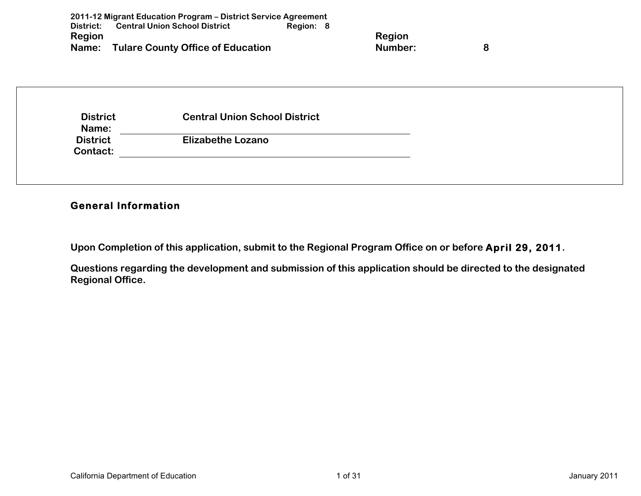| District:<br><b>Region</b> | <b>Central Union School District</b><br>Region: 8 | <b>Region</b> |   |
|----------------------------|---------------------------------------------------|---------------|---|
| Name:                      | <b>Tulare County Office of Education</b>          | Number:       | 8 |
|                            |                                                   |               |   |
|                            |                                                   |               |   |
|                            |                                                   |               |   |
|                            |                                                   |               |   |
| <b>District</b>            | <b>Central Union School District</b>              |               |   |
| Name:<br><b>District</b>   | <b>Elizabethe Lozano</b>                          |               |   |

# **General Information**

**Upon Completion of this application, submit to the Regional Program Office on or before April 29, 2011.**

**Questions regarding the development and submission of this application should be directed to the designated Regional Office.**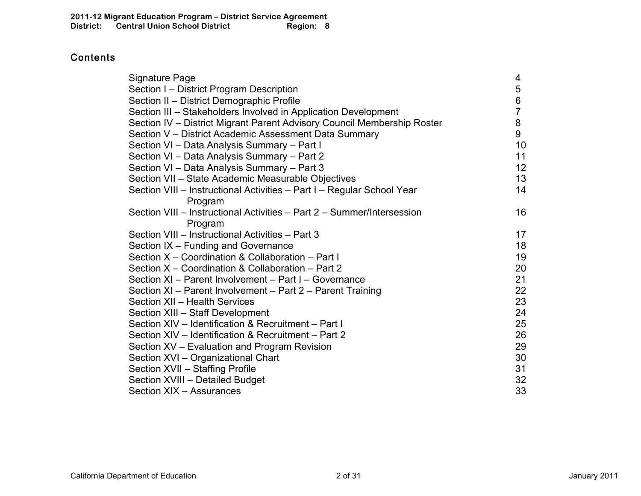# **Contents**

| Signature Page                                                          | 4              |
|-------------------------------------------------------------------------|----------------|
| Section I – District Program Description                                | 5              |
| Section II - District Demographic Profile                               | 6              |
| Section III – Stakeholders Involved in Application Development          | $\overline{7}$ |
| Section IV - District Migrant Parent Advisory Council Membership Roster | 8              |
| Section V - District Academic Assessment Data Summary                   | 9              |
| Section VI - Data Analysis Summary - Part I                             | 10             |
| Section VI - Data Analysis Summary - Part 2                             | 11             |
| Section VI - Data Analysis Summary - Part 3                             | 12             |
| Section VII - State Academic Measurable Objectives                      | 13             |
| Section VIII - Instructional Activities - Part I - Regular School Year  | 14             |
| Program                                                                 |                |
| Section VIII – Instructional Activities – Part 2 – Summer/Intersession  | 16             |
| Program                                                                 |                |
| Section VIII - Instructional Activities - Part 3                        | 17             |
| Section IX – Funding and Governance                                     | 18             |
| Section X - Coordination & Collaboration - Part I                       | 19             |
| Section X – Coordination & Collaboration – Part 2                       | 20             |
| Section XI - Parent Involvement - Part I - Governance                   | 21             |
| Section XI - Parent Involvement - Part 2 - Parent Training              | 22             |
| Section XII - Health Services                                           | 23             |
| Section XIII - Staff Development                                        | 24             |
| Section XIV - Identification & Recruitment - Part I                     | 25             |
| Section XIV - Identification & Recruitment - Part 2                     | 26             |
| Section XV - Evaluation and Program Revision                            | 29             |
| Section XVI - Organizational Chart                                      | 30             |
| Section XVII - Staffing Profile                                         | 31             |
| Section XVIII - Detailed Budget                                         | 32             |
| Section XIX - Assurances                                                | 33             |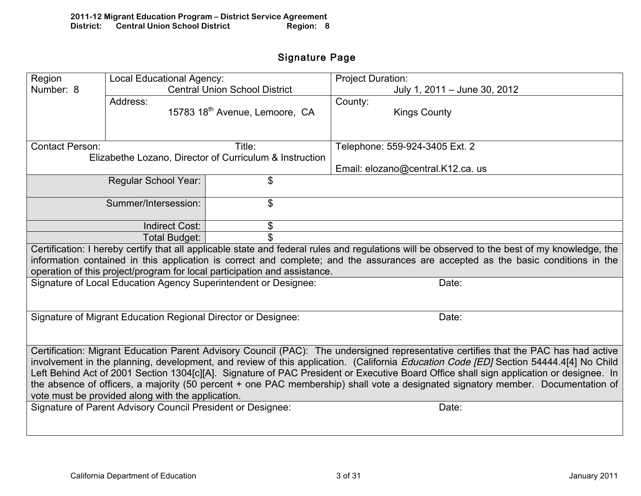# Signature Page

| Region                                                                                                                                  | Local Educational Agency:                                     |                                                                           | <b>Project Duration:</b>                                                                                                                      |  |  |  |  |
|-----------------------------------------------------------------------------------------------------------------------------------------|---------------------------------------------------------------|---------------------------------------------------------------------------|-----------------------------------------------------------------------------------------------------------------------------------------------|--|--|--|--|
| Number: 8                                                                                                                               |                                                               | <b>Central Union School District</b>                                      | July 1, 2011 - June 30, 2012                                                                                                                  |  |  |  |  |
|                                                                                                                                         | Address:                                                      |                                                                           | County:                                                                                                                                       |  |  |  |  |
|                                                                                                                                         |                                                               | 15783 18 <sup>th</sup> Avenue, Lemoore, CA                                | <b>Kings County</b>                                                                                                                           |  |  |  |  |
|                                                                                                                                         |                                                               |                                                                           |                                                                                                                                               |  |  |  |  |
|                                                                                                                                         |                                                               |                                                                           |                                                                                                                                               |  |  |  |  |
| <b>Contact Person:</b>                                                                                                                  |                                                               | Title:                                                                    | Telephone: 559-924-3405 Ext. 2                                                                                                                |  |  |  |  |
|                                                                                                                                         |                                                               | Elizabethe Lozano, Director of Curriculum & Instruction                   |                                                                                                                                               |  |  |  |  |
|                                                                                                                                         |                                                               |                                                                           | Email: elozano@central.K12.ca. us                                                                                                             |  |  |  |  |
|                                                                                                                                         | <b>Regular School Year:</b>                                   | \$                                                                        |                                                                                                                                               |  |  |  |  |
|                                                                                                                                         |                                                               |                                                                           |                                                                                                                                               |  |  |  |  |
|                                                                                                                                         | Summer/Intersession:                                          | \$                                                                        |                                                                                                                                               |  |  |  |  |
|                                                                                                                                         |                                                               |                                                                           |                                                                                                                                               |  |  |  |  |
|                                                                                                                                         | <b>Indirect Cost:</b>                                         | \$                                                                        |                                                                                                                                               |  |  |  |  |
|                                                                                                                                         | Total Budget:                                                 |                                                                           |                                                                                                                                               |  |  |  |  |
|                                                                                                                                         |                                                               |                                                                           | Certification: I hereby certify that all applicable state and federal rules and regulations will be observed to the best of my knowledge, the |  |  |  |  |
|                                                                                                                                         |                                                               |                                                                           | information contained in this application is correct and complete; and the assurances are accepted as the basic conditions in the             |  |  |  |  |
|                                                                                                                                         |                                                               | operation of this project/program for local participation and assistance. |                                                                                                                                               |  |  |  |  |
|                                                                                                                                         |                                                               | Signature of Local Education Agency Superintendent or Designee:           | Date:                                                                                                                                         |  |  |  |  |
|                                                                                                                                         |                                                               |                                                                           |                                                                                                                                               |  |  |  |  |
|                                                                                                                                         |                                                               |                                                                           |                                                                                                                                               |  |  |  |  |
|                                                                                                                                         | Signature of Migrant Education Regional Director or Designee: |                                                                           | Date:                                                                                                                                         |  |  |  |  |
|                                                                                                                                         |                                                               |                                                                           |                                                                                                                                               |  |  |  |  |
|                                                                                                                                         |                                                               |                                                                           |                                                                                                                                               |  |  |  |  |
|                                                                                                                                         |                                                               |                                                                           | Certification: Migrant Education Parent Advisory Council (PAC): The undersigned representative certifies that the PAC has had active          |  |  |  |  |
|                                                                                                                                         |                                                               |                                                                           | involvement in the planning, development, and review of this application. (California Education Code [ED] Section 54444.4[4] No Child         |  |  |  |  |
| Left Behind Act of 2001 Section 1304[c][A]. Signature of PAC President or Executive Board Office shall sign application or designee. In |                                                               |                                                                           |                                                                                                                                               |  |  |  |  |
|                                                                                                                                         |                                                               |                                                                           | the absence of officers, a majority (50 percent + one PAC membership) shall vote a designated signatory member. Documentation of              |  |  |  |  |
|                                                                                                                                         | vote must be provided along with the application.             |                                                                           |                                                                                                                                               |  |  |  |  |
|                                                                                                                                         | Signature of Parent Advisory Council President or Designee:   |                                                                           | Date:                                                                                                                                         |  |  |  |  |
|                                                                                                                                         |                                                               |                                                                           |                                                                                                                                               |  |  |  |  |
|                                                                                                                                         |                                                               |                                                                           |                                                                                                                                               |  |  |  |  |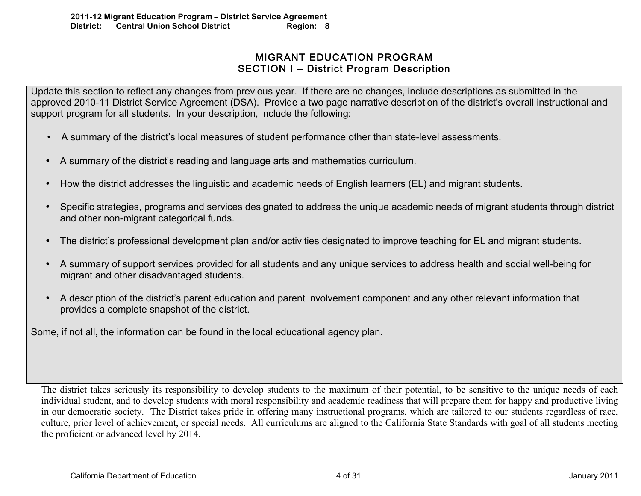# MIGRANT EDUCATION PROGRAM SECTION I – District Program Description

Update this section to reflect any changes from previous year. If there are no changes, include descriptions as submitted in the approved 2010-11 District Service Agreement (DSA). Provide a two page narrative description of the district's overall instructional and support program for all students. In your description, include the following:

- • A summary of the district's local measures of student performance other than state-level assessments.
- A summary of the district's reading and language arts and mathematics curriculum.
- How the district addresses the linguistic and academic needs of English learners (EL) and migrant students.
- Specific strategies, programs and services designated to address the unique academic needs of migrant students through district and other non-migrant categorical funds.
- The district's professional development plan and/or activities designated to improve teaching for EL and migrant students.
- A summary of support services provided for all students and any unique services to address health and social well-being for migrant and other disadvantaged students.
- A description of the district's parent education and parent involvement component and any other relevant information that provides a complete snapshot of the district.

Some, if not all, the information can be found in the local educational agency plan.

The district takes seriously its responsibility to develop students to the maximum of their potential, to be sensitive to the unique needs of each individual student, and to develop students with moral responsibility and academic readiness that will prepare them for happy and productive living in our democratic society. The District takes pride in offering many instructional programs, which are tailored to our students regardless of race, culture, prior level of achievement, or special needs. All curriculums are aligned to the California State Standards with goal of all students meeting the proficient or advanced level by 2014.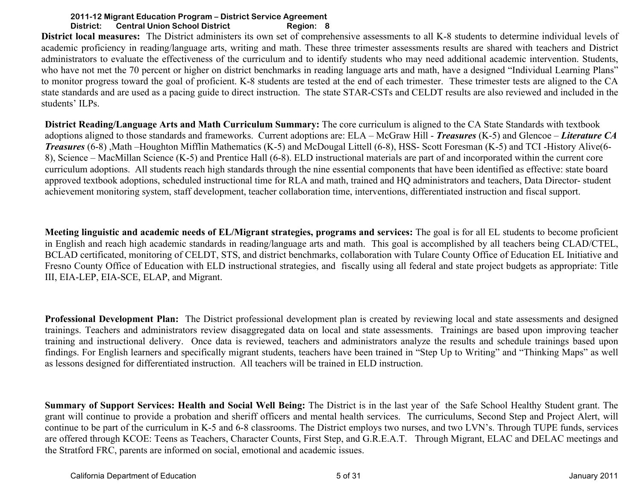**District local measures:** The District administers its own set of comprehensive assessments to all K-8 students to determine individual levels of academic proficiency in reading/language arts, writing and math. These three trimester assessments results are shared with teachers and District administrators to evaluate the effectiveness of the curriculum and to identify students who may need additional academic intervention. Students, who have not met the 70 percent or higher on district benchmarks in reading language arts and math, have a designed "Individual Learning Plans" to monitor progress toward the goal of proficient. K-8 students are tested at the end of each trimester. These trimester tests are aligned to the CA state standards and are used as a pacing guide to direct instruction. The state STAR-CSTs and CELDT results are also reviewed and included in the students' ILPs.

**District Reading/Language Arts and Math Curriculum Summary:** The core curriculum is aligned to the CA State Standards with textbook adoptions aligned to those standards and frameworks. Current adoptions are: ELA – McGraw Hill - *Treasures* (K-5) and Glencoe – *Literature CA Treasures* (6-8) ,Math –Houghton Mifflin Mathematics (K-5) and McDougal Littell (6-8), HSS- Scott Foresman (K-5) and TCI -History Alive(6- 8), Science – MacMillan Science (K-5) and Prentice Hall (6-8). ELD instructional materials are part of and incorporated within the current core curriculum adoptions. All students reach high standards through the nine essential components that have been identified as effective: state board approved textbook adoptions, scheduled instructional time for RLA and math, trained and HQ administrators and teachers, Data Director- student achievement monitoring system, staff development, teacher collaboration time, interventions, differentiated instruction and fiscal support.

**Meeting linguistic and academic needs of EL/Migrant strategies, programs and services:** The goal is for all EL students to become proficient in English and reach high academic standards in reading/language arts and math. This goal is accomplished by all teachers being CLAD/CTEL, BCLAD certificated, monitoring of CELDT, STS, and district benchmarks, collaboration with Tulare County Office of Education EL Initiative and Fresno County Office of Education with ELD instructional strategies, and fiscally using all federal and state project budgets as appropriate: Title III, EIA-LEP, EIA-SCE, ELAP, and Migrant.

**Professional Development Plan:** The District professional development plan is created by reviewing local and state assessments and designed trainings. Teachers and administrators review disaggregated data on local and state assessments. Trainings are based upon improving teacher training and instructional delivery. Once data is reviewed, teachers and administrators analyze the results and schedule trainings based upon findings. For English learners and specifically migrant students, teachers have been trained in "Step Up to Writing" and "Thinking Maps" as well as lessons designed for differentiated instruction. All teachers will be trained in ELD instruction.

**Summary of Support Services: Health and Social Well Being:** The District is in the last year of the Safe School Healthy Student grant. The grant will continue to provide a probation and sheriff officers and mental health services. The curriculums, Second Step and Project Alert, will continue to be part of the curriculum in K-5 and 6-8 classrooms. The District employs two nurses, and two LVN's. Through TUPE funds, services are offered through KCOE: Teens as Teachers, Character Counts, First Step, and G.R.E.A.T. Through Migrant, ELAC and DELAC meetings and the Stratford FRC, parents are informed on social, emotional and academic issues.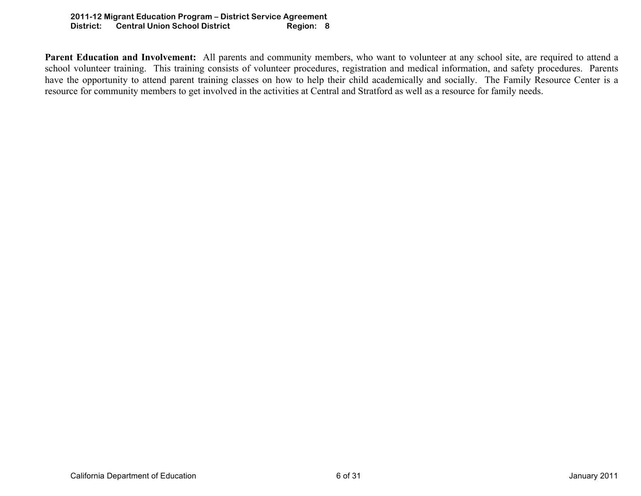Parent Education and Involvement: All parents and community members, who want to volunteer at any school site, are required to attend a school volunteer training. This training consists of volunteer procedures, registration and medical information, and safety procedures. Parents have the opportunity to attend parent training classes on how to help their child academically and socially. The Family Resource Center is a resource for community members to get involved in the activities at Central and Stratford as well as a resource for family needs.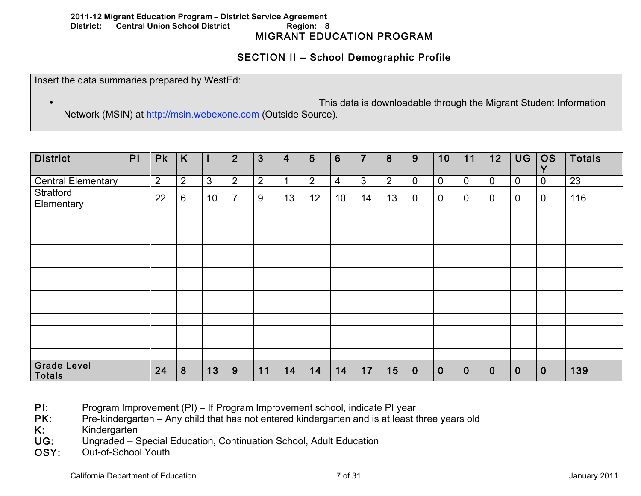#### **2011-12 Migrant Education Program – District Service Agreement District: Central Union School District Region: 8**  MIGRANT EDUCATION PROGRAM

# SECTION II – School Demographic Profile

Insert the data summaries prepared by WestEd:

• This data is downloadable through the Migrant Student Information

Network (MSIN) at http://msin.webexone.com (Outside Source).

| <b>District</b>                     | PI | <b>Pk</b>      | K              |    | $\overline{2}$ | 3              | 4  | 5              | 6  | $\overline{7}$ | 8              | 9           | 10          | 11             | 12               | <b>UG</b>   | <b>OS</b><br>V | <b>Totals</b> |
|-------------------------------------|----|----------------|----------------|----|----------------|----------------|----|----------------|----|----------------|----------------|-------------|-------------|----------------|------------------|-------------|----------------|---------------|
| <b>Central Elementary</b>           |    | $\overline{2}$ | $\overline{2}$ | 3  | $\overline{2}$ | $\overline{2}$ |    | $\overline{2}$ | 4  | 3              | $\overline{2}$ | $\pmb{0}$   | $\pmb{0}$   | $\mathbf 0$    | $\pmb{0}$        | $\mathbf 0$ | 0              | 23            |
| Stratford<br>Elementary             |    | 22             | 6              | 10 | $\overline{7}$ | 9              | 13 | 12             | 10 | 14             | 13             | $\mathbf 0$ | $\mathbf 0$ | $\overline{0}$ | $\pmb{0}$        | $\mathbf 0$ | 0              | 116           |
|                                     |    |                |                |    |                |                |    |                |    |                |                |             |             |                |                  |             |                |               |
|                                     |    |                |                |    |                |                |    |                |    |                |                |             |             |                |                  |             |                |               |
|                                     |    |                |                |    |                |                |    |                |    |                |                |             |             |                |                  |             |                |               |
|                                     |    |                |                |    |                |                |    |                |    |                |                |             |             |                |                  |             |                |               |
|                                     |    |                |                |    |                |                |    |                |    |                |                |             |             |                |                  |             |                |               |
|                                     |    |                |                |    |                |                |    |                |    |                |                |             |             |                |                  |             |                |               |
|                                     |    |                |                |    |                |                |    |                |    |                |                |             |             |                |                  |             |                |               |
|                                     |    |                |                |    |                |                |    |                |    |                |                |             |             |                |                  |             |                |               |
|                                     |    |                |                |    |                |                |    |                |    |                |                |             |             |                |                  |             |                |               |
|                                     |    |                |                |    |                |                |    |                |    |                |                |             |             |                |                  |             |                |               |
|                                     |    |                |                |    |                |                |    |                |    |                |                |             |             |                |                  |             |                |               |
|                                     |    |                |                |    |                |                |    |                |    |                |                |             |             |                |                  |             |                |               |
|                                     |    |                |                |    |                |                |    |                |    |                |                |             |             |                |                  |             |                |               |
| <b>Grade Level</b><br><b>Totals</b> |    | 24             | 8              | 13 | 9              | 11             | 14 | 14             | 14 | 17             | 15             | $\bf{0}$    | $\mathbf 0$ | $\mathbf{0}$   | $\boldsymbol{0}$ | $\mathbf 0$ | $\mathbf 0$    | 139           |

- PI: Program Improvement (PI) If Program Improvement school, indicate PI year
- PK: Pre-kindergarten Any child that has not entered kindergarten and is at least three years old
- K: Kindergarten
- UG: Ungraded Special Education, Continuation School, Adult Education
- OSY: Out-of-School Youth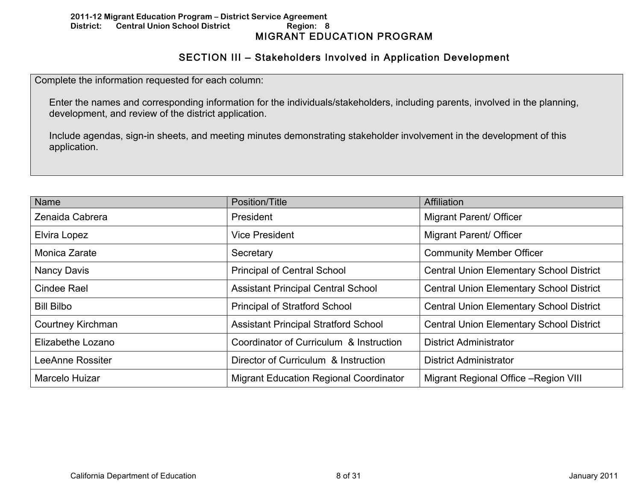# SECTION III – Stakeholders Involved in Application Development

Complete the information requested for each column:

Enter the names and corresponding information for the individuals/stakeholders, including parents, involved in the planning, development, and review of the district application.

Include agendas, sign-in sheets, and meeting minutes demonstrating stakeholder involvement in the development of this application.

| Name                     | Position/Title                              | Affiliation                                     |
|--------------------------|---------------------------------------------|-------------------------------------------------|
| Zenaida Cabrera          | President                                   | <b>Migrant Parent/ Officer</b>                  |
| Elvira Lopez             | <b>Vice President</b>                       | <b>Migrant Parent/ Officer</b>                  |
| Monica Zarate            | Secretary                                   | <b>Community Member Officer</b>                 |
| Nancy Davis              | <b>Principal of Central School</b>          | <b>Central Union Elementary School District</b> |
| <b>Cindee Rael</b>       | <b>Assistant Principal Central School</b>   | <b>Central Union Elementary School District</b> |
| <b>Bill Bilbo</b>        | <b>Principal of Stratford School</b>        | <b>Central Union Elementary School District</b> |
| <b>Courtney Kirchman</b> | <b>Assistant Principal Stratford School</b> | <b>Central Union Elementary School District</b> |
| Elizabethe Lozano        | Coordinator of Curriculum & Instruction     | <b>District Administrator</b>                   |
| LeeAnne Rossiter         | Director of Curriculum & Instruction        | <b>District Administrator</b>                   |
| Marcelo Huizar           | Migrant Education Regional Coordinator      | Migrant Regional Office - Region VIII           |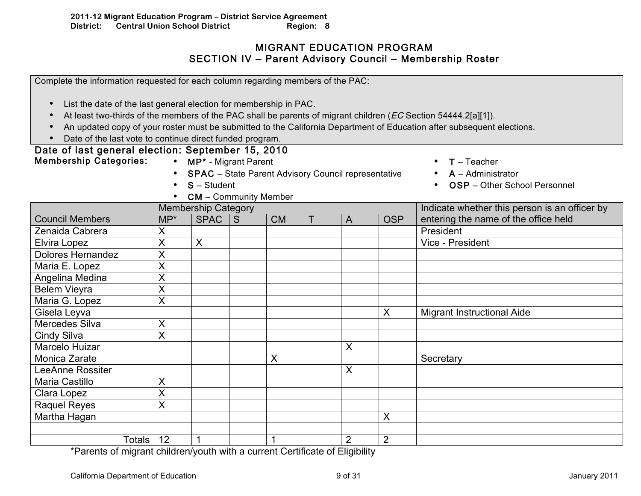# MIGRANT EDUCATION PROGRAM SECTION IV – Parent Advisory Council – Membership Roster

| Complete the information requested for each column regarding members of the PAC:                                            |                         |                                                            |              |           |                |                |                                                                                                                        |
|-----------------------------------------------------------------------------------------------------------------------------|-------------------------|------------------------------------------------------------|--------------|-----------|----------------|----------------|------------------------------------------------------------------------------------------------------------------------|
| List the date of the last general election for membership in PAC.                                                           |                         |                                                            |              |           |                |                |                                                                                                                        |
| At least two-thirds of the members of the PAC shall be parents of migrant children (EC Section 54444.2[a][1]).<br>$\bullet$ |                         |                                                            |              |           |                |                |                                                                                                                        |
| $\bullet$                                                                                                                   |                         |                                                            |              |           |                |                | An updated copy of your roster must be submitted to the California Department of Education after subsequent elections. |
| Date of the last vote to continue direct funded program.                                                                    |                         |                                                            |              |           |                |                |                                                                                                                        |
| Date of last general election: September 15, 2010                                                                           |                         |                                                            |              |           |                |                |                                                                                                                        |
| <b>Membership Categories:</b>                                                                                               |                         | • MP* - Migrant Parent                                     |              |           |                |                | $T - Teacher$                                                                                                          |
|                                                                                                                             |                         | <b>SPAC</b> - State Parent Advisory Council representative |              |           |                |                | $A -$ Administrator                                                                                                    |
|                                                                                                                             | $\bullet$               | $S - Student$                                              |              |           |                |                | OSP - Other School Personnel                                                                                           |
|                                                                                                                             |                         | <b>CM</b> – Community Member                               |              |           |                |                |                                                                                                                        |
|                                                                                                                             |                         | <b>Membership Category</b>                                 |              |           |                |                | Indicate whether this person is an officer by                                                                          |
| <b>Council Members</b>                                                                                                      | $MP^*$                  | <b>SPAC</b>                                                | $\mathsf{S}$ | <b>CM</b> | $\overline{A}$ | <b>OSP</b>     | entering the name of the office held                                                                                   |
| Zenaida Cabrera                                                                                                             | X                       |                                                            |              |           |                |                | President                                                                                                              |
| Elvira Lopez                                                                                                                | X                       | $\mathsf{X}$                                               |              |           |                |                | Vice - President                                                                                                       |
| <b>Dolores Hernandez</b>                                                                                                    | $\overline{\mathsf{X}}$ |                                                            |              |           |                |                |                                                                                                                        |
| Maria E. Lopez                                                                                                              | X                       |                                                            |              |           |                |                |                                                                                                                        |
| Angelina Medina                                                                                                             | X                       |                                                            |              |           |                |                |                                                                                                                        |
| <b>Belem Vieyra</b>                                                                                                         | $\overline{\mathsf{x}}$ |                                                            |              |           |                |                |                                                                                                                        |
| Maria G. Lopez                                                                                                              | X                       |                                                            |              |           |                |                |                                                                                                                        |
| Gisela Leyva                                                                                                                |                         |                                                            |              |           |                | X              | <b>Migrant Instructional Aide</b>                                                                                      |
| Mercedes Silva                                                                                                              | X                       |                                                            |              |           |                |                |                                                                                                                        |
| Cindy Silva                                                                                                                 | X                       |                                                            |              |           |                |                |                                                                                                                        |
| Marcelo Huizar                                                                                                              |                         |                                                            |              |           | $\mathsf{X}$   |                |                                                                                                                        |
| <b>Monica Zarate</b>                                                                                                        |                         |                                                            |              | X         |                |                | Secretary                                                                                                              |
| <b>LeeAnne Rossiter</b>                                                                                                     |                         |                                                            |              |           | $\sf X$        |                |                                                                                                                        |
| <b>Maria Castillo</b>                                                                                                       | X                       |                                                            |              |           |                |                |                                                                                                                        |
| Clara Lopez                                                                                                                 | X                       |                                                            |              |           |                |                |                                                                                                                        |
| <b>Raquel Reyes</b>                                                                                                         | X                       |                                                            |              |           |                |                |                                                                                                                        |
| Martha Hagan                                                                                                                |                         |                                                            |              |           |                | X              |                                                                                                                        |
|                                                                                                                             |                         |                                                            |              |           |                |                |                                                                                                                        |
| Totals                                                                                                                      | 12                      | $\mathbf 1$                                                |              | 1         | 2              | $\overline{2}$ |                                                                                                                        |

\*Parents of migrant children/youth with a current Certificate of Eligibility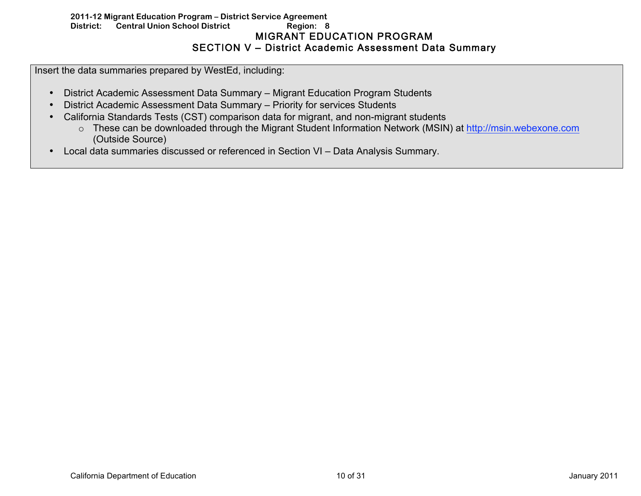## **2011-12 Migrant Education Program – District Service Agreement District: Central Union School District Region: 8**  MIGRANT EDUCATION PROGRAM SECTION V – District Academic Assessment Data Summary

Insert the data summaries prepared by WestEd, including:

- District Academic Assessment Data Summary Migrant Education Program Students
- District Academic Assessment Data Summary Priority for services Students
- California Standards Tests (CST) comparison data for migrant, and non-migrant students
	- o These can be downloaded through the Migrant Student Information Network (MSIN) at http://msin.webexone.com (Outside Source)
- Local data summaries discussed or referenced in Section VI Data Analysis Summary.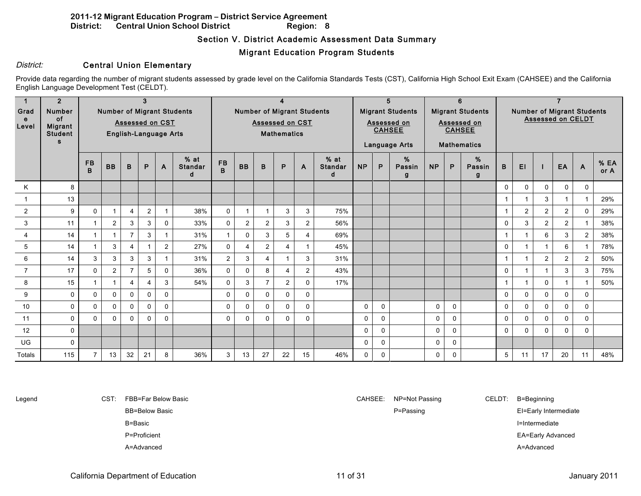## Section V. District Academic Assessment Data Summary

## Migrant Education Program Students

## District: **Central Union Elementary**

Provide data regarding the number of migrant students assessed by grade level on the California Standards Tests (CST), California High School Exit Exam (CAHSEE) and the California English Language Development Test (CELDT).

|                | $\overline{2}$              |                |                      |                | 3                       |                              |                                   |                |                         |                |                                   |                | 5<br>6                        |                                |                            |                         |             |              |                         |                                                               |                |                |                |                |                     |
|----------------|-----------------------------|----------------|----------------------|----------------|-------------------------|------------------------------|-----------------------------------|----------------|-------------------------|----------------|-----------------------------------|----------------|-------------------------------|--------------------------------|----------------------------|-------------------------|-------------|--------------|-------------------------|---------------------------------------------------------------|----------------|----------------|----------------|----------------|---------------------|
| Grad           | <b>Number</b>               |                |                      |                |                         |                              | <b>Number of Migrant Students</b> |                |                         |                | <b>Number of Migrant Students</b> |                |                               |                                |                            | <b>Migrant Students</b> |             |              | <b>Migrant Students</b> | <b>Number of Migrant Students</b><br><b>Assessed on CELDT</b> |                |                |                |                |                     |
| e<br>Level     | <b>of</b><br><b>Migrant</b> |                |                      |                |                         | <b>Assessed on CST</b>       |                                   |                | <b>Assessed on CST</b>  |                |                                   |                |                               |                                | Assessed on<br>Assessed on |                         |             |              |                         |                                                               |                |                |                |                |                     |
|                | <b>Student</b>              |                |                      |                |                         | <b>English-Language Arts</b> |                                   |                | <b>Mathematics</b>      |                |                                   |                |                               | <b>CAHSEE</b><br><b>CAHSEE</b> |                            |                         |             |              |                         |                                                               |                |                |                |                |                     |
|                | <b>s</b>                    |                |                      |                |                         |                              |                                   |                |                         |                |                                   |                |                               |                                |                            | Language Arts           |             |              | <b>Mathematics</b>      |                                                               |                |                |                |                |                     |
|                |                             | <b>FB</b><br>B | <b>BB</b>            | B              | P                       | A                            | $%$ at<br><b>Standar</b><br>d     | <b>FB</b><br>B | <b>BB</b>               | B              | P                                 | A              | $%$ at<br><b>Standar</b><br>d | <b>NP</b>                      | P                          | %<br>Passin<br>g        | <b>NP</b>   | P            | %<br>Passin<br>g        | B                                                             | EI             |                | EA             | $\mathsf{A}$   | <b>% EA</b><br>or A |
| Κ              | 8                           |                |                      |                |                         |                              |                                   |                |                         |                |                                   |                |                               |                                |                            |                         |             |              |                         | $\Omega$                                                      | 0              | $\mathbf 0$    | 0              | $\mathbf 0$    |                     |
|                | 13                          |                |                      |                |                         |                              |                                   |                |                         |                |                                   |                |                               |                                |                            |                         |             |              |                         | $\overline{1}$                                                |                | 3              |                | $\overline{1}$ | 29%                 |
| 2              | 9                           | $\mathbf{0}$   |                      | $\overline{4}$ | $\overline{2}$          |                              | 38%                               | $\mathbf 0$    |                         | $\mathbf{1}$   | 3                                 | 3              | 75%                           |                                |                            |                         |             |              |                         | $\overline{1}$                                                | $\overline{2}$ | $\overline{2}$ | 2              | $\mathbf{0}$   | 29%                 |
| 3              | 11                          |                | $\overline{2}$       | 3              | 3                       | $\mathbf{0}$                 | 33%                               | $\mathbf 0$    | $\overline{2}$          | 2              | 3                                 | $\overline{2}$ | 56%                           |                                |                            |                         |             |              |                         | 0                                                             | 3              | $\overline{2}$ | $\overline{2}$ | $\overline{1}$ | 38%                 |
| $\overline{4}$ | 14                          |                | $\blacktriangleleft$ | $\overline{7}$ | 3                       |                              | 31%                               | $\mathbf{1}$   | $\mathbf 0$             | 3              | 5                                 | $\overline{4}$ | 69%                           |                                |                            |                         |             |              |                         | 1                                                             |                | 6              | 3              | 2              | 38%                 |
| 5              | 14                          |                | 3                    | $\overline{4}$ |                         | 2                            | 27%                               | $\mathbf 0$    | $\overline{\mathbf{4}}$ | 2              | 4                                 | -1             | 45%                           |                                |                            |                         |             |              |                         | $\Omega$                                                      |                | 1              | 6              | $\mathbf 1$    | 78%                 |
| 6              | 14                          | 3              | 3                    | 3              | 3                       |                              | 31%                               | $\overline{2}$ | 3                       | $\overline{4}$ | $\overline{1}$                    | 3              | 31%                           |                                |                            |                         |             |              |                         | $\overline{1}$                                                |                | $\overline{2}$ | $\overline{2}$ | 2              | 50%                 |
| $\overline{7}$ | 17                          | $\Omega$       | $\overline{2}$       | $\overline{7}$ | 5                       | $\Omega$                     | 36%                               | $\mathbf 0$    | $\mathbf{0}$            | 8              | 4                                 | 2              | 43%                           |                                |                            |                         |             |              |                         | $\mathbf 0$                                                   |                |                | 3              | 3              | 75%                 |
| 8              | 15                          |                |                      | $\overline{4}$ | $\overline{\mathbf{4}}$ | 3                            | 54%                               | $\mathbf 0$    | 3                       | $\overline{7}$ | $\overline{2}$                    | $\Omega$       | 17%                           |                                |                            |                         |             |              |                         | 1                                                             |                | $\Omega$       |                | $\overline{1}$ | 50%                 |
| 9              | $\Omega$                    | $\Omega$       | $\mathbf 0$          | $\Omega$       | $\Omega$                | $\mathbf{0}$                 |                                   | $\mathsf{O}$   | $\mathbf{0}$            | $\mathbf{0}$   | $\Omega$                          | $\mathbf 0$    |                               |                                |                            |                         |             |              |                         | $\mathbf{0}$                                                  | 0              | $\Omega$       | $\mathbf{0}$   | $\mathbf{0}$   |                     |
| 10             | $\mathbf 0$                 | $\Omega$       | $\mathbf 0$          | $\mathbf{0}$   | $\Omega$                | $\mathbf{0}$                 |                                   | $\mathbf 0$    | $\mathbf 0$             | $\mathbf{0}$   | 0                                 | $\mathbf 0$    |                               | 0                              | $\mathbf 0$                |                         | 0           | $\mathbf{0}$ |                         | $\mathbf{0}$                                                  | 0              | $\Omega$       | $\Omega$       | $\mathbf 0$    |                     |
| 11             | $\Omega$                    | $\mathbf{0}$   | $\mathbf{0}$         | $\Omega$       | $\Omega$                | $\Omega$                     |                                   | $\mathbf 0$    | $\mathbf{0}$            | $\Omega$       | $\mathbf{0}$                      | $\Omega$       |                               | 0                              | $\Omega$                   |                         | $\mathbf 0$ | $\Omega$     |                         | $\Omega$                                                      | 0              | $\Omega$       | $\Omega$       | $\Omega$       |                     |
| 12             | $\mathbf{0}$                |                |                      |                |                         |                              |                                   |                |                         |                |                                   |                |                               | $\mathbf 0$                    | $\mathbf 0$                |                         | $\pmb{0}$   | $\mathbf 0$  |                         | $\Omega$                                                      | 0              | $\Omega$       | $\Omega$       | $\mathbf 0$    |                     |
| <b>UG</b>      | $\Omega$                    |                |                      |                |                         |                              |                                   |                |                         |                |                                   |                |                               | $\Omega$                       | $\Omega$                   |                         | 0           | $\Omega$     |                         |                                                               |                |                |                |                |                     |
| Totals         | 115                         |                | 13                   | 32             | 21                      | 8                            | 36%                               | 3              | 13                      | 27             | 22                                | 15             | 46%                           | 0                              | $\mathbf 0$                |                         | 0           | 0            |                         | 5                                                             | 11             | 17             | 20             | 11             | 48%                 |

Legend CST: FBB=Far Below Basic CAHSEE: NP=Not Passing CELDT: B=Beginning

A=Advanced A=Advanced

BB=Below Basic **P=Passing P=Passing EI=Early Intermediate** B=Basic **I=Intermediate** P=Proficient EA=Early Advanced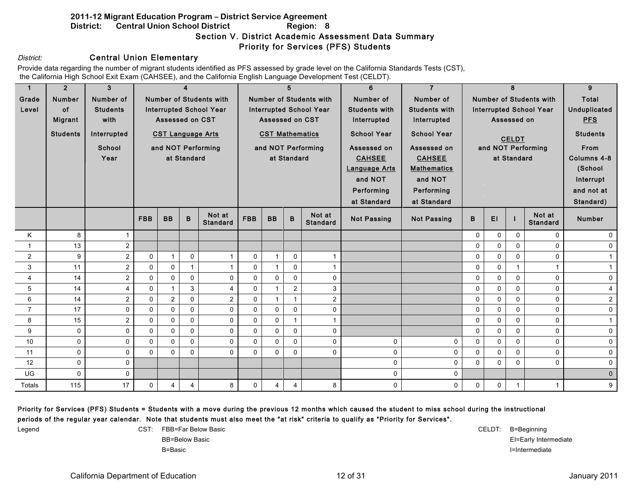#### **2011-12 Migrant Education Program – District Service Agreement District:** Central Union School District Region: 8 Section V. District Academic Assessment Data Summary Priority for Services (PFS) Students

#### District: **Central Union Elementary**

Provide data regarding the number of migrant students identified as PFS assessed by grade level on the California Standards Tests (CST), the California High School Exit Exam (CAHSEE), and the California English Language Development Test (CELDT).

| $\mathbf{1}$   | 2 <sup>1</sup>  | 3               | $\boldsymbol{4}$ |                          |             | 5                              |            |                        |                | 6                              | $\overline{7}$       |                      |                                | 9                              |              |                    |                         |
|----------------|-----------------|-----------------|------------------|--------------------------|-------------|--------------------------------|------------|------------------------|----------------|--------------------------------|----------------------|----------------------|--------------------------------|--------------------------------|--------------|--------------------|-------------------------|
| Grade          | <b>Number</b>   | Number of       |                  |                          |             | <b>Number of Students with</b> |            |                        |                | <b>Number of Students with</b> | Number of            | Number of            |                                | <b>Number of Students with</b> | <b>Total</b> |                    |                         |
| Level          | of              | <b>Students</b> |                  |                          |             | <b>Interrupted School Year</b> |            |                        |                | <b>Interrupted School Year</b> | <b>Students with</b> | <b>Students with</b> | <b>Interrupted School Year</b> |                                |              |                    | <b>Unduplicated</b>     |
|                | <b>Migrant</b>  | with            |                  | Assessed on CST          |             |                                |            | Assessed on CST        |                |                                | Interrupted          | Interrupted          | Assessed on                    |                                |              |                    | <b>PFS</b>              |
|                | <b>Students</b> | Interrupted     |                  | <b>CST Language Arts</b> |             |                                |            | <b>CST Mathematics</b> |                |                                | <b>School Year</b>   | <b>School Year</b>   | <b>CELDT</b>                   |                                |              |                    | <b>Students</b>         |
|                |                 | School          |                  |                          |             | and NOT Performing             |            |                        |                | and NOT Performing             | Assessed on          | Assessed on          |                                |                                |              | and NOT Performing | From                    |
|                |                 | Year            |                  |                          | at Standard |                                |            |                        | at Standard    |                                | <b>CAHSEE</b>        | <b>CAHSEE</b>        |                                |                                | at Standard  |                    | Columns 4-8             |
|                |                 |                 |                  |                          |             |                                |            |                        |                |                                | <b>Language Arts</b> | <b>Mathematics</b>   |                                |                                |              |                    | (School                 |
|                |                 |                 |                  |                          |             |                                |            |                        |                |                                | and NOT              | and NOT              |                                |                                |              |                    | Interrupt               |
|                |                 |                 |                  |                          |             |                                |            |                        |                |                                | Performing           | Performing           |                                |                                |              |                    | and not at              |
|                |                 |                 |                  |                          |             |                                |            |                        |                |                                | at Standard          | at Standard          |                                |                                |              |                    | Standard)               |
|                |                 |                 | <b>FBB</b>       | <b>BB</b>                | $\mathbf B$ | Not at                         | <b>FBB</b> | <b>BB</b>              | B              | Not at                         |                      |                      | B                              | EI                             |              | Not at             | <b>Number</b>           |
|                |                 |                 |                  |                          |             | <b>Standard</b>                |            |                        |                | <b>Standard</b>                | <b>Not Passing</b>   | <b>Not Passing</b>   |                                |                                |              | <b>Standard</b>    |                         |
| K              | 8               |                 |                  |                          |             |                                |            |                        |                |                                |                      |                      | $\mathbf 0$                    | 0                              | $\Omega$     | $\Omega$           | $\mathbf{0}$            |
| $\mathbf{1}$   | 13              | 2               |                  |                          |             |                                |            |                        |                |                                |                      |                      | $\Omega$                       | $\mathbf 0$                    | $\Omega$     | $\Omega$           | $\mathbf 0$             |
| $\overline{2}$ | 9               | $\overline{2}$  | $\mathbf 0$      | $\mathbf 1$              | 0           | $\mathbf{1}$                   | $\Omega$   | $\overline{1}$         | $\Omega$       |                                |                      |                      | 0                              | $\mathbf 0$                    | 0            | 0                  | $\mathbf{1}$            |
| 3              | 11              | $\overline{2}$  | $\mathbf 0$      | 0                        |             | $\mathbf{1}$                   | $\Omega$   | $\overline{1}$         | $\Omega$       | $\overline{1}$                 |                      |                      | 0                              | $\mathbf 0$                    | $\mathbf{1}$ |                    | $\mathbf{1}$            |
| $\overline{4}$ | 14              | 2               | $\mathbf 0$      | 0                        | $\mathbf 0$ | $\mathbf 0$                    | $\Omega$   | $\Omega$               | $\Omega$       | $\mathbf 0$                    |                      |                      | 0                              | $\mathbf 0$                    | $\Omega$     | $\mathbf 0$        | $\mathbf 0$             |
| 5              | 14              | 4               | $\mathbf 0$      | $\mathbf{1}$             | 3           | 4                              | 0          |                        | $\overline{2}$ | 3                              |                      |                      | 0                              | $\mathsf{O}$                   | $\Omega$     | $\mathbf 0$        | $\overline{\mathbf{4}}$ |
| 6              | 14              | $\overline{2}$  | $\Omega$         | $\overline{2}$           | $\Omega$    | $\overline{2}$                 | $\Omega$   | $\overline{1}$         | $\mathbf{1}$   | 2                              |                      |                      | $\Omega$                       | $\Omega$                       | $\Omega$     | $\Omega$           | $\overline{a}$          |
| $\overline{7}$ | 17              | $\Omega$        | $\mathbf{0}$     | $\Omega$                 | $\Omega$    | $\Omega$                       | $\Omega$   | $\Omega$               | $\Omega$       | $\mathbf 0$                    |                      |                      | 0                              | $\mathbf 0$                    | $\Omega$     | $\Omega$           | $\mathbf 0$             |
| 8              | 15              | $\overline{2}$  | $\mathbf 0$      | 0                        | $\mathbf 0$ | $\mathbf 0$                    | 0          | $\mathbf 0$            | 1              | $\overline{1}$                 |                      |                      | 0                              | $\mathbf 0$                    | $\Omega$     | 0                  | $\mathbf{1}$            |
| 9              | $\mathbf 0$     | $\Omega$        | 0                | 0                        | $\mathbf 0$ | $\pmb{0}$                      | 0          | $\mathbf 0$            | 0              | $\mathbf 0$                    |                      |                      | 0                              | $\mathsf{O}$                   | $\Omega$     | $\mathsf{O}$       | $\mathbf 0$             |
| 10             | 0               | $\Omega$        | $\Omega$         | 0                        | $\Omega$    | $\mathbf 0$                    | $\Omega$   | $\mathbf 0$            | $\Omega$       | $\mathbf 0$                    | 0                    | 0                    | 0                              | $\mathbf 0$                    | $\Omega$     | $\mathbf 0$        | $\pmb{0}$               |
| 11             | $\Omega$        | $\Omega$        | $\Omega$         | $\Omega$                 | $\Omega$    | $\Omega$                       | $\Omega$   | $\Omega$               | $\Omega$       | $\mathbf{0}$                   | $\Omega$             | 0                    | $\Omega$                       | $\Omega$                       | $\Omega$     | $\Omega$           | $\mathbf 0$             |
| 12             | 0               | $\Omega$        |                  |                          |             |                                |            |                        |                |                                | $\Omega$             | 0                    | $\Omega$                       | $\mathbf 0$                    | 0            | $\Omega$           | 0                       |
| UG             | $\mathbf 0$     | $\mathbf 0$     |                  |                          |             |                                |            |                        |                |                                | $\mathbf 0$          | 0                    |                                |                                |              |                    | $\pmb{0}$               |
| Totals         | 115             | 17              | $\mathbf 0$      | 4                        | 4           | 8                              | 0          | 4                      | 4              | $8\phantom{.}$                 | 0                    | $\mathbf 0$          | 0                              | $\mathbf 0$                    | $\mathbf{1}$ | $\mathbf{1}$       | 9                       |

#### Priority for Services (PFS) Students = Students with a move during the previous 12 months which caused the student to miss school during the instructional periods of the regular year calendar. Note that students must also meet the "at risk" criteria to qualify as "Priority for Services".

Legend CST: FBB=Far Below Basic CELDT: B=Beginning BB=Below Basic **EI**=Early Intermediate **EI**=Early Intermediate B=Basic **I=Intermediate**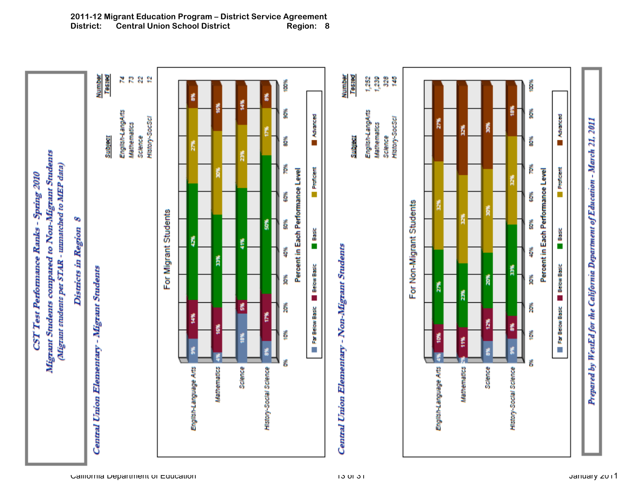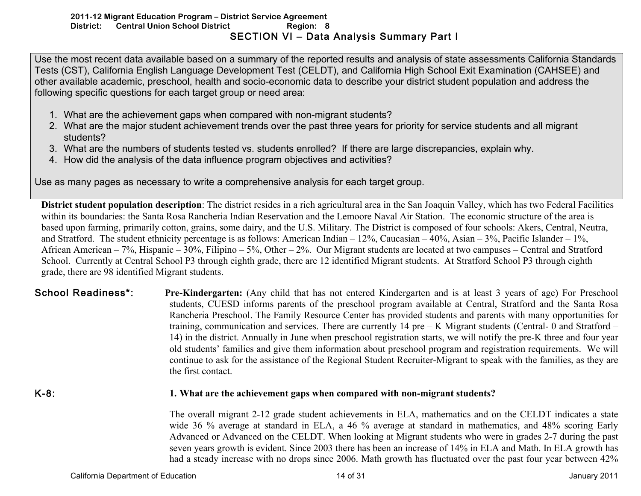## **2011-12 Migrant Education Program – District Service Agreement District:** Central Union School District Region: 8 SECTION VI – Data Analysis Summary Part I

Use the most recent data available based on a summary of the reported results and analysis of state assessments California Standards Tests (CST), California English Language Development Test (CELDT), and California High School Exit Examination (CAHSEE) and other available academic, preschool, health and socio-economic data to describe your district student population and address the following specific questions for each target group or need area:

- 1. What are the achievement gaps when compared with non-migrant students?
- 2. What are the major student achievement trends over the past three years for priority for service students and all migrant students?
- 3. What are the numbers of students tested vs. students enrolled? If there are large discrepancies, explain why.
- 4. How did the analysis of the data influence program objectives and activities?

Use as many pages as necessary to write a comprehensive analysis for each target group.

**District student population description**: The district resides in a rich agricultural area in the San Joaquin Valley, which has two Federal Facilities within its boundaries: the Santa Rosa Rancheria Indian Reservation and the Lemoore Naval Air Station. The economic structure of the area is based upon farming, primarily cotton, grains, some dairy, and the U.S. Military. The District is composed of four schools: Akers, Central, Neutra, and Stratford. The student ethnicity percentage is as follows: American Indian –  $12\%$ , Caucasian –  $40\%$ , Asian –  $3\%$ , Pacific Islander –  $1\%$ , African American – 7%, Hispanic – 30%, Filipino – 5%, Other – 2%. Our Migrant students are located at two campuses – Central and Stratford School. Currently at Central School P3 through eighth grade, there are 12 identified Migrant students. At Stratford School P3 through eighth grade, there are 98 identified Migrant students.

## School Readiness\*: **Pre-Kindergarten:** (Any child that has not entered Kindergarten and is at least 3 years of age) For Preschool students, CUESD informs parents of the preschool program available at Central, Stratford and the Santa Rosa Rancheria Preschool. The Family Resource Center has provided students and parents with many opportunities for training, communication and services. There are currently 14 pre – K Migrant students (Central- 0 and Stratford – 14) in the district. Annually in June when preschool registration starts, we will notify the pre-K three and four year old students' families and give them information about preschool program and registration requirements. We will continue to ask for the assistance of the Regional Student Recruiter-Migrant to speak with the families, as they are the first contact.

## K-8: **1. What are the achievement gaps when compared with non-migrant students?**

The overall migrant 2-12 grade student achievements in ELA, mathematics and on the CELDT indicates a state wide 36 % average at standard in ELA, a 46 % average at standard in mathematics, and 48% scoring Early Advanced or Advanced on the CELDT. When looking at Migrant students who were in grades 2-7 during the past seven years growth is evident. Since 2003 there has been an increase of 14% in ELA and Math. In ELA growth has had a steady increase with no drops since 2006. Math growth has fluctuated over the past four year between 42%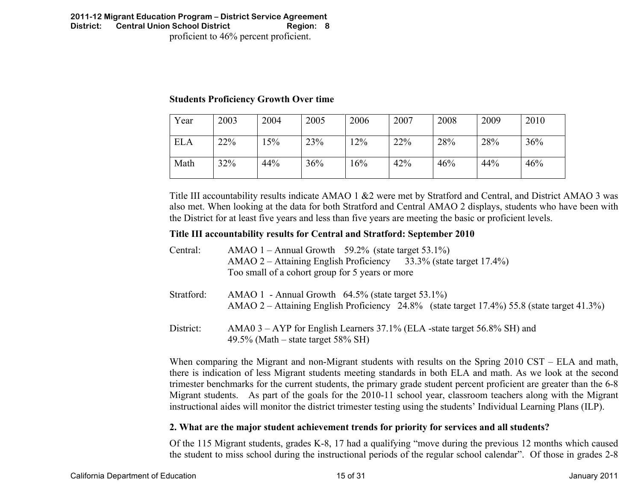#### **2011-12 Migrant Education Program – District Service Agreement District: Central Union School District Region: 8**  proficient to 46% percent proficient.

## **Students Proficiency Growth Over time**

| Year       | 2003 | 2004 | 2005 | 2006   | 2007 | 2008 | 2009 | 2010 |
|------------|------|------|------|--------|------|------|------|------|
| <b>ELA</b> | 22%  | 5%   | 23%  | $12\%$ | 22%  | 28%  | 28%  | 36%  |
| Math       | 32%  | 44%  | 36%  | 16%    | 42%  | 46%  | 44%  | 46%  |

Title III accountability results indicate AMAO 1 &2 were met by Stratford and Central, and District AMAO 3 was also met. When looking at the data for both Stratford and Central AMAO 2 displays, students who have been with the District for at least five years and less than five years are meeting the basic or proficient levels.

## **Title III accountability results for Central and Stratford: September 2010**

| Central:   | AMAO $1 -$ Annual Growth 59.2% (state target 53.1%)                                                                                                 |
|------------|-----------------------------------------------------------------------------------------------------------------------------------------------------|
|            | AMAO 2 – Attaining English Proficiency 33.3% (state target 17.4%)                                                                                   |
|            | Too small of a cohort group for 5 years or more                                                                                                     |
| Stratford: | AMAO 1 - Annual Growth $64.5\%$ (state target 53.1%)<br>AMAO 2 – Attaining English Proficiency 24.8% (state target 17.4%) 55.8 (state target 41.3%) |
| District:  | AMA0 3 – AYP for English Learners 37.1% (ELA -state target 56.8% SH) and<br>49.5% (Math – state target 58% SH)                                      |

When comparing the Migrant and non-Migrant students with results on the Spring 2010 CST – ELA and math, there is indication of less Migrant students meeting standards in both ELA and math. As we look at the second trimester benchmarks for the current students, the primary grade student percent proficient are greater than the 6-8 Migrant students. As part of the goals for the 2010-11 school year, classroom teachers along with the Migrant instructional aides will monitor the district trimester testing using the students' Individual Learning Plans (ILP).

## **2. What are the major student achievement trends for priority for services and all students?**

Of the 115 Migrant students, grades K-8, 17 had a qualifying "move during the previous 12 months which caused the student to miss school during the instructional periods of the regular school calendar". Of those in grades 2-8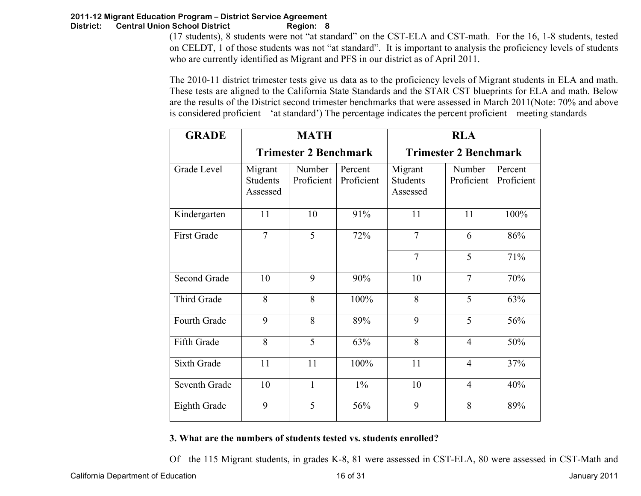(17 students), 8 students were not "at standard" on the CST-ELA and CST-math. For the 16, 1-8 students, tested on CELDT, 1 of those students was not "at standard". It is important to analysis the proficiency levels of students who are currently identified as Migrant and PFS in our district as of April 2011.

The 2010-11 district trimester tests give us data as to the proficiency levels of Migrant students in ELA and math. These tests are aligned to the California State Standards and the STAR CST blueprints for ELA and math. Below are the results of the District second trimester benchmarks that were assessed in March 2011(Note: 70% and above is considered proficient – 'at standard') The percentage indicates the percent proficient – meeting standards

| <b>GRADE</b>        |                                        | <b>MATH</b>                  |                       | <b>RLA</b>                             |                              |                       |  |  |  |  |  |
|---------------------|----------------------------------------|------------------------------|-----------------------|----------------------------------------|------------------------------|-----------------------|--|--|--|--|--|
|                     |                                        | <b>Trimester 2 Benchmark</b> |                       |                                        | <b>Trimester 2 Benchmark</b> |                       |  |  |  |  |  |
| Grade Level         | Migrant<br><b>Students</b><br>Assessed | Number<br>Proficient         | Percent<br>Proficient | Migrant<br><b>Students</b><br>Assessed | Number<br>Proficient         | Percent<br>Proficient |  |  |  |  |  |
| Kindergarten        | 11                                     | 10                           | 91%                   | 11                                     | 11                           | 100%                  |  |  |  |  |  |
| <b>First Grade</b>  | $\overline{7}$                         | 5                            | 72%                   | $\overline{7}$                         | 6                            | 86%                   |  |  |  |  |  |
|                     |                                        |                              |                       | $\overline{7}$                         | 5                            | 71%                   |  |  |  |  |  |
| <b>Second Grade</b> | 10                                     | 9                            | 90%                   | 10                                     | $\overline{7}$               | 70%                   |  |  |  |  |  |
| Third Grade         | 8                                      | 8                            | 100%                  | 8                                      | 5                            | 63%                   |  |  |  |  |  |
| Fourth Grade        | 9                                      | 8                            | 89%                   | 9                                      | 5                            | 56%                   |  |  |  |  |  |
| Fifth Grade         | 8                                      | 5                            | 63%                   | 8                                      | $\overline{4}$               | 50%                   |  |  |  |  |  |
| <b>Sixth Grade</b>  | 11                                     | 11                           | 100%                  | 11                                     | $\overline{4}$               | 37%                   |  |  |  |  |  |
| Seventh Grade       | 10                                     | $\mathbf{1}$                 | $1\%$                 | 10                                     | $\overline{4}$               | 40%                   |  |  |  |  |  |
| Eighth Grade        | 9                                      | 5                            | 56%                   | 9                                      | 8                            | 89%                   |  |  |  |  |  |

## **3. What are the numbers of students tested vs. students enrolled?**

Of the 115 Migrant students, in grades K-8, 81 were assessed in CST-ELA, 80 were assessed in CST-Math and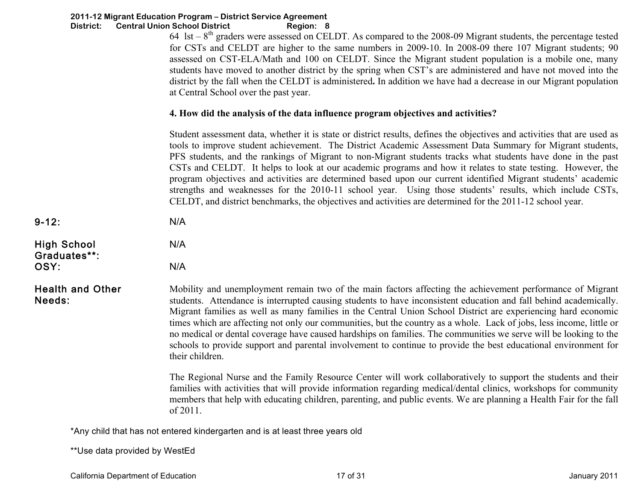| District:                                  | 2011-12 Migrant Education Program - District Service Agreement<br><b>Central Union School District</b><br>Region: 8<br>64 lst $-8th$ graders were assessed on CELDT. As compared to the 2008-09 Migrant students, the percentage tested<br>for CSTs and CELDT are higher to the same numbers in 2009-10. In 2008-09 there 107 Migrant students; 90<br>assessed on CST-ELA/Math and 100 on CELDT. Since the Migrant student population is a mobile one, many<br>students have moved to another district by the spring when CST's are administered and have not moved into the<br>district by the fall when the CELDT is administered. In addition we have had a decrease in our Migrant population<br>at Central School over the past year.                                                                     |
|--------------------------------------------|----------------------------------------------------------------------------------------------------------------------------------------------------------------------------------------------------------------------------------------------------------------------------------------------------------------------------------------------------------------------------------------------------------------------------------------------------------------------------------------------------------------------------------------------------------------------------------------------------------------------------------------------------------------------------------------------------------------------------------------------------------------------------------------------------------------|
|                                            | 4. How did the analysis of the data influence program objectives and activities?                                                                                                                                                                                                                                                                                                                                                                                                                                                                                                                                                                                                                                                                                                                               |
|                                            | Student assessment data, whether it is state or district results, defines the objectives and activities that are used as<br>tools to improve student achievement. The District Academic Assessment Data Summary for Migrant students,<br>PFS students, and the rankings of Migrant to non-Migrant students tracks what students have done in the past<br>CSTs and CELDT. It helps to look at our academic programs and how it relates to state testing. However, the<br>program objectives and activities are determined based upon our current identified Migrant students' academic<br>strengths and weaknesses for the 2010-11 school year. Using those students' results, which include CSTs,<br>CELDT, and district benchmarks, the objectives and activities are determined for the 2011-12 school year. |
| $9 - 12:$                                  | N/A                                                                                                                                                                                                                                                                                                                                                                                                                                                                                                                                                                                                                                                                                                                                                                                                            |
| <b>High School</b><br>Graduates**:<br>OSY: | N/A<br>N/A                                                                                                                                                                                                                                                                                                                                                                                                                                                                                                                                                                                                                                                                                                                                                                                                     |
| <b>Health and Other</b><br>Needs:          | Mobility and unemployment remain two of the main factors affecting the achievement performance of Migrant<br>students. Attendance is interrupted causing students to have inconsistent education and fall behind academically.<br>Migrant families as well as many families in the Central Union School District are experiencing hard economic<br>times which are affecting not only our communities, but the country as a whole. Lack of jobs, less income, little or<br>no medical or dental coverage have caused hardships on families. The communities we serve will be looking to the<br>schools to provide support and parental involvement to continue to provide the best educational environment for<br>their children.                                                                              |
|                                            | The Regional Nurse and the Family Resource Center will work collaboratively to support the students and their<br>families with activities that will provide information regarding medical/dental clinics, workshops for community<br>members that help with educating children, parenting, and public events. We are planning a Health Fair for the fall<br>of 2011.                                                                                                                                                                                                                                                                                                                                                                                                                                           |
|                                            | *Any child that has not entered kindergarten and is at least three years old                                                                                                                                                                                                                                                                                                                                                                                                                                                                                                                                                                                                                                                                                                                                   |
| ** Use data provided by WestEd             |                                                                                                                                                                                                                                                                                                                                                                                                                                                                                                                                                                                                                                                                                                                                                                                                                |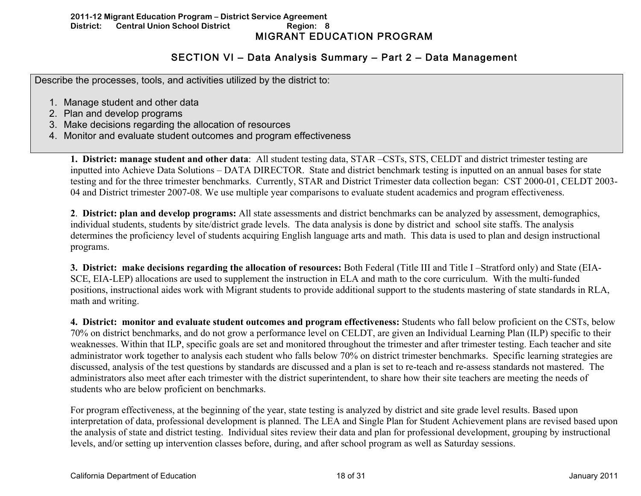#### **2011-12 Migrant Education Program – District Service Agreement District:** Central Union School District Region: 8 MIGRANT EDUCATION PROGRAM

# SECTION VI – Data Analysis Summary – Part 2 – Data Management

Describe the processes, tools, and activities utilized by the district to:

- 1. Manage student and other data
- 2. Plan and develop programs
- 3. Make decisions regarding the allocation of resources
- 4. Monitor and evaluate student outcomes and program effectiveness

**1. District: manage student and other data**: All student testing data, STAR –CSTs, STS, CELDT and district trimester testing are inputted into Achieve Data Solutions – DATA DIRECTOR. State and district benchmark testing is inputted on an annual bases for state testing and for the three trimester benchmarks. Currently, STAR and District Trimester data collection began: CST 2000-01, CELDT 2003- 04 and District trimester 2007-08. We use multiple year comparisons to evaluate student academics and program effectiveness.

**2**. **District: plan and develop programs:** All state assessments and district benchmarks can be analyzed by assessment, demographics, individual students, students by site/district grade levels. The data analysis is done by district and school site staffs. The analysis determines the proficiency level of students acquiring English language arts and math. This data is used to plan and design instructional programs.

**3. District: make decisions regarding the allocation of resources:** Both Federal (Title III and Title I –Stratford only) and State (EIA-SCE, EIA-LEP) allocations are used to supplement the instruction in ELA and math to the core curriculum. With the multi-funded positions, instructional aides work with Migrant students to provide additional support to the students mastering of state standards in RLA, math and writing.

**4. District: monitor and evaluate student outcomes and program effectiveness:** Students who fall below proficient on the CSTs, below 70% on district benchmarks, and do not grow a performance level on CELDT, are given an Individual Learning Plan (ILP) specific to their weaknesses. Within that ILP, specific goals are set and monitored throughout the trimester and after trimester testing. Each teacher and site administrator work together to analysis each student who falls below 70% on district trimester benchmarks. Specific learning strategies are discussed, analysis of the test questions by standards are discussed and a plan is set to re-teach and re-assess standards not mastered. The administrators also meet after each trimester with the district superintendent, to share how their site teachers are meeting the needs of students who are below proficient on benchmarks.

For program effectiveness, at the beginning of the year, state testing is analyzed by district and site grade level results. Based upon interpretation of data, professional development is planned. The LEA and Single Plan for Student Achievement plans are revised based upon the analysis of state and district testing. Individual sites review their data and plan for professional development, grouping by instructional levels, and/or setting up intervention classes before, during, and after school program as well as Saturday sessions.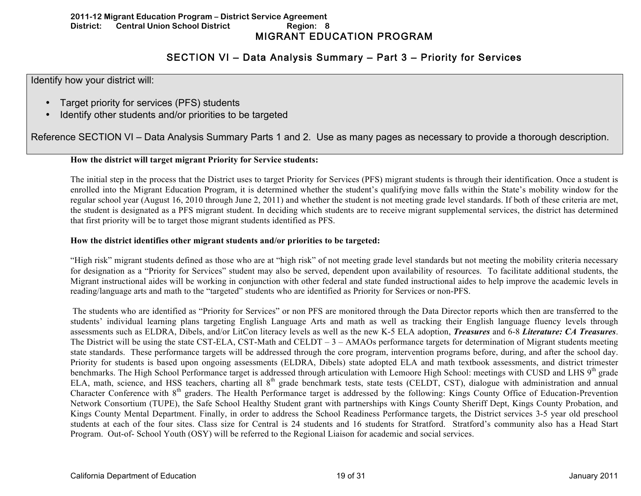#### **2011-12 Migrant Education Program – District Service Agreement District:** Central Union School District **Region: 8** MIGRANT EDUCATION PROGRAM

# SECTION VI – Data Analysis Summary – Part 3 – Priority for Services

Identify how your district will:

- Target priority for services (PFS) students
- Identify other students and/or priorities to be targeted

Reference SECTION VI – Data Analysis Summary Parts 1 and 2. Use as many pages as necessary to provide a thorough description.

## **How the district will target migrant Priority for Service students:**

The initial step in the process that the District uses to target Priority for Services (PFS) migrant students is through their identification. Once a student is enrolled into the Migrant Education Program, it is determined whether the student's qualifying move falls within the State's mobility window for the regular school year (August 16, 2010 through June 2, 2011) and whether the student is not meeting grade level standards. If both of these criteria are met, the student is designated as a PFS migrant student. In deciding which students are to receive migrant supplemental services, the district has determined that first priority will be to target those migrant students identified as PFS.

## **How the district identifies other migrant students and/or priorities to be targeted:**

"High risk" migrant students defined as those who are at "high risk" of not meeting grade level standards but not meeting the mobility criteria necessary for designation as a "Priority for Services" student may also be served, dependent upon availability of resources. To facilitate additional students, the Migrant instructional aides will be working in conjunction with other federal and state funded instructional aides to help improve the academic levels in reading/language arts and math to the "targeted" students who are identified as Priority for Services or non-PFS.

The students who are identified as "Priority for Services" or non PFS are monitored through the Data Director reports which then are transferred to the students' individual learning plans targeting English Language Arts and math as well as tracking their English language fluency levels through assessments such as ELDRA, Dibels, and/or LitCon literacy levels as well as the new K-5 ELA adoption, *Treasures* and 6-8 *Literature: CA Treasures*. The District will be using the state CST-ELA, CST-Math and CELDT  $-3 - AMAOs$  performance targets for determination of Migrant students meeting state standards. These performance targets will be addressed through the core program, intervention programs before, during, and after the school day. Priority for students is based upon ongoing assessments (ELDRA, Dibels) state adopted ELA and math textbook assessments, and district trimester benchmarks. The High School Performance target is addressed through articulation with Lemoore High School: meetings with CUSD and LHS 9<sup>th</sup> grade ELA, math, science, and HSS teachers, charting all 8<sup>th</sup> grade benchmark tests, state tests (CELDT, CST), dialogue with administration and annual Character Conference with 8<sup>th</sup> graders. The Health Performance target is addressed by the following: Kings County Office of Education-Prevention Network Consortium (TUPE), the Safe School Healthy Student grant with partnerships with Kings County Sheriff Dept, Kings County Probation, and Kings County Mental Department. Finally, in order to address the School Readiness Performance targets, the District services 3-5 year old preschool students at each of the four sites. Class size for Central is 24 students and 16 students for Stratford. Stratford's community also has a Head Start Program. Out-of- School Youth (OSY) will be referred to the Regional Liaison for academic and social services.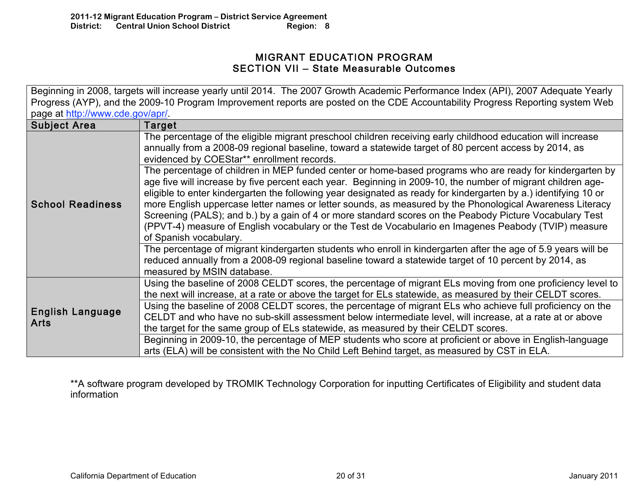## MIGRANT EDUCATION PROGRAM SECTION VII – State Measurable Outcomes

Beginning in 2008, targets will increase yearly until 2014. The 2007 Growth Academic Performance Index (API), 2007 Adequate Yearly Progress (AYP), and the 2009-10 Program Improvement reports are posted on the CDE Accountability Progress Reporting system Web page at http://www.cde.gov/apr/.

| <b>Subject Area</b>                    | Target                                                                                                                                                                                                                                                                                                                                                |
|----------------------------------------|-------------------------------------------------------------------------------------------------------------------------------------------------------------------------------------------------------------------------------------------------------------------------------------------------------------------------------------------------------|
| <b>School Readiness</b>                | The percentage of the eligible migrant preschool children receiving early childhood education will increase<br>annually from a 2008-09 regional baseline, toward a statewide target of 80 percent access by 2014, as<br>evidenced by COEStar** enrollment records.                                                                                    |
|                                        | The percentage of children in MEP funded center or home-based programs who are ready for kindergarten by<br>age five will increase by five percent each year. Beginning in 2009-10, the number of migrant children age-<br>eligible to enter kindergarten the following year designated as ready for kindergarten by a.) identifying 10 or            |
|                                        | more English uppercase letter names or letter sounds, as measured by the Phonological Awareness Literacy<br>Screening (PALS); and b.) by a gain of 4 or more standard scores on the Peabody Picture Vocabulary Test<br>(PPVT-4) measure of English vocabulary or the Test de Vocabulario en Imagenes Peabody (TVIP) measure<br>of Spanish vocabulary. |
|                                        | The percentage of migrant kindergarten students who enroll in kindergarten after the age of 5.9 years will be<br>reduced annually from a 2008-09 regional baseline toward a statewide target of 10 percent by 2014, as<br>measured by MSIN database.                                                                                                  |
|                                        | Using the baseline of 2008 CELDT scores, the percentage of migrant ELs moving from one proficiency level to<br>the next will increase, at a rate or above the target for ELs statewide, as measured by their CELDT scores.                                                                                                                            |
| <b>English Language</b><br><b>Arts</b> | Using the baseline of 2008 CELDT scores, the percentage of migrant ELs who achieve full proficiency on the<br>CELDT and who have no sub-skill assessment below intermediate level, will increase, at a rate at or above<br>the target for the same group of ELs statewide, as measured by their CELDT scores.                                         |
|                                        | Beginning in 2009-10, the percentage of MEP students who score at proficient or above in English-language<br>arts (ELA) will be consistent with the No Child Left Behind target, as measured by CST in ELA.                                                                                                                                           |

\*\*A software program developed by TROMIK Technology Corporation for inputting Certificates of Eligibility and student data information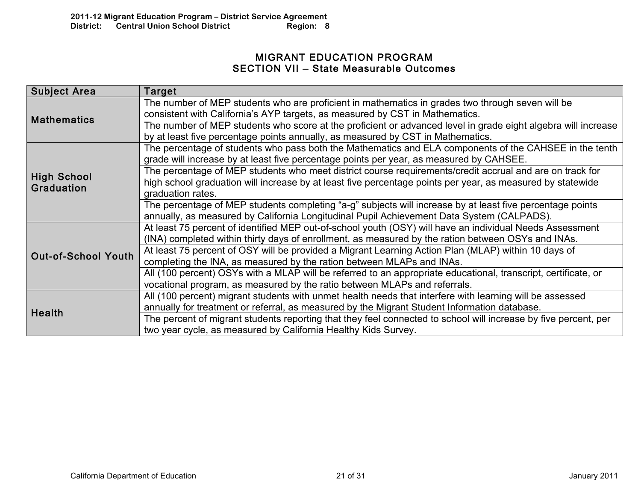## MIGRANT EDUCATION PROGRAM SECTION VII – State Measurable Outcomes

| <b>Subject Area</b>        | Target                                                                                                                                                                                                 |
|----------------------------|--------------------------------------------------------------------------------------------------------------------------------------------------------------------------------------------------------|
| <b>Mathematics</b>         | The number of MEP students who are proficient in mathematics in grades two through seven will be<br>consistent with California's AYP targets, as measured by CST in Mathematics.                       |
|                            | The number of MEP students who score at the proficient or advanced level in grade eight algebra will increase<br>by at least five percentage points annually, as measured by CST in Mathematics.       |
|                            | The percentage of students who pass both the Mathematics and ELA components of the CAHSEE in the tenth<br>grade will increase by at least five percentage points per year, as measured by CAHSEE.      |
| <b>High School</b>         | The percentage of MEP students who meet district course requirements/credit accrual and are on track for                                                                                               |
| <b>Graduation</b>          | high school graduation will increase by at least five percentage points per year, as measured by statewide<br>graduation rates.                                                                        |
|                            | The percentage of MEP students completing "a-g" subjects will increase by at least five percentage points<br>annually, as measured by California Longitudinal Pupil Achievement Data System (CALPADS). |
|                            | At least 75 percent of identified MEP out-of-school youth (OSY) will have an individual Needs Assessment                                                                                               |
|                            | (INA) completed within thirty days of enrollment, as measured by the ration between OSYs and INAs.                                                                                                     |
| <b>Out-of-School Youth</b> | At least 75 percent of OSY will be provided a Migrant Learning Action Plan (MLAP) within 10 days of                                                                                                    |
|                            | completing the INA, as measured by the ration between MLAPs and INAs.                                                                                                                                  |
|                            | All (100 percent) OSYs with a MLAP will be referred to an appropriate educational, transcript, certificate, or                                                                                         |
|                            | vocational program, as measured by the ratio between MLAPs and referrals.                                                                                                                              |
|                            | All (100 percent) migrant students with unmet health needs that interfere with learning will be assessed                                                                                               |
| Health                     | annually for treatment or referral, as measured by the Migrant Student Information database.                                                                                                           |
|                            | The percent of migrant students reporting that they feel connected to school will increase by five percent, per                                                                                        |
|                            | two year cycle, as measured by California Healthy Kids Survey.                                                                                                                                         |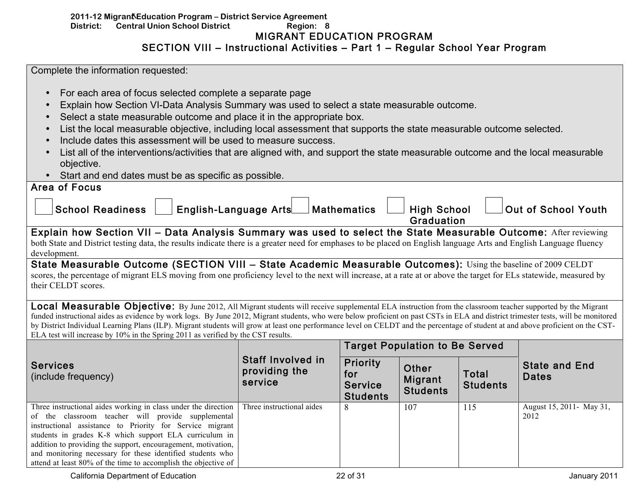## 2011-12 Migrant Education Program - District Service Agreement **District: Central Union School District Region: 8**  MIGRANT EDUCATION PROGRAM SECTION VIII – Instructional Activities – Part 1 – Regular School Year Program

Area of Focus

- For each area of focus selected complete a separate page
- Explain how Section VI-Data Analysis Summary was used to select a state measurable outcome.
- Select a state measurable outcome and place it in the appropriate box.
- List the local measurable objective, including local assessment that supports the state measurable outcome selected.
- Include dates this assessment will be used to measure success.
- List all of the interventions/activities that are aligned with, and support the state measurable outcome and the local measurable objective.
- Start and end dates must be as specific as possible.

| AIGU VI I VOUS          |                              |                    |                                  |                     |
|-------------------------|------------------------------|--------------------|----------------------------------|---------------------|
| <b>School Readiness</b> | <b>English-Language Arts</b> | $\Box$ Mathematics | <b>High School</b><br>Graduation | Out of School Youth |

Explain how Section VII – Data Analysis Summary was used to select the State Measurable Outcome: After reviewing both State and District testing data, the results indicate there is a greater need for emphases to be placed on English language Arts and English Language fluency development.

State Measurable Outcome (SECTION VIII – State Academic Measurable Outcomes): Using the baseline of 2009 CELDT scores, the percentage of migrant ELS moving from one proficiency level to the next will increase, at a rate at or above the target for ELs statewide, measured by their CELDT scores.

**Local Measurable Objective:** By June 2012, All Migrant students will receive supplemental ELA instruction from the classroom teacher supported by the Migrant funded instructional aides as evidence by work logs. By June 2012, Migrant students, who were below proficient on past CSTs in ELA and district trimester tests, will be monitored by District Individual Learning Plans (ILP). Migrant students will grow at least one performance level on CELDT and the percentage of student at and above proficient on the CST-ELA test will increase by 10% in the Spring 2011 as verified by the CST results.

|                                                                                                                                                                                                                                                                                                                                                                                                                                             |                                                      |                                                             | <b>Target Population to Be Served</b> |                                 |                                      |
|---------------------------------------------------------------------------------------------------------------------------------------------------------------------------------------------------------------------------------------------------------------------------------------------------------------------------------------------------------------------------------------------------------------------------------------------|------------------------------------------------------|-------------------------------------------------------------|---------------------------------------|---------------------------------|--------------------------------------|
| <b>Services</b><br>(include frequency)                                                                                                                                                                                                                                                                                                                                                                                                      | <b>Staff Involved in</b><br>providing the<br>service | <b>Priority</b><br>for<br><b>Service</b><br><b>Students</b> | Other<br>Migrant<br><b>Students</b>   | <b>Total</b><br><b>Students</b> | <b>State and End</b><br><b>Dates</b> |
| Three instructional aides working in class under the direction<br>of the classroom teacher will provide supplemental<br>instructional assistance to Priority for Service migrant<br>students in grades K-8 which support ELA curriculum in<br>addition to providing the support, encouragement, motivation,<br>and monitoring necessary for these identified students who<br>attend at least 80% of the time to accomplish the objective of | Three instructional aides                            | 8                                                           | 107                                   | 115                             | August 15, 2011 - May 31,<br>2012    |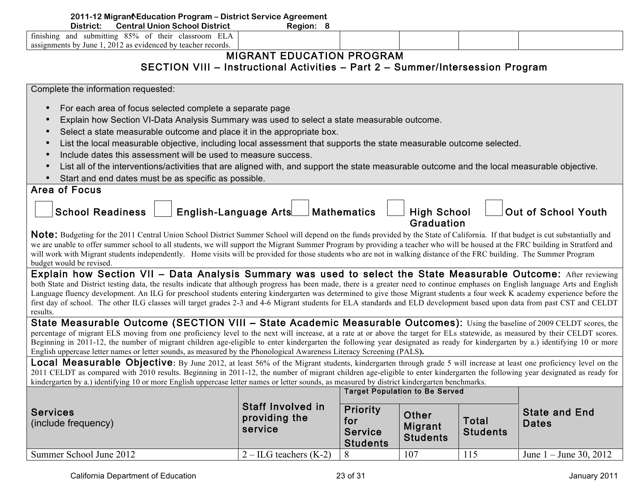| 2011-12 Migrant Education Program - District Service Agreement<br><b>Central Union School District</b><br>District:<br>Region: 8<br>finishing and submitting 85% of their classroom ELA<br>assignments by June 1, 2012 as evidenced by teacher records.<br><b>MIGRANT EDUCATION PROGRAM</b><br>SECTION VIII - Instructional Activities - Part 2 - Summer/Intersession Program |
|-------------------------------------------------------------------------------------------------------------------------------------------------------------------------------------------------------------------------------------------------------------------------------------------------------------------------------------------------------------------------------|
|                                                                                                                                                                                                                                                                                                                                                                               |
|                                                                                                                                                                                                                                                                                                                                                                               |
|                                                                                                                                                                                                                                                                                                                                                                               |
|                                                                                                                                                                                                                                                                                                                                                                               |
|                                                                                                                                                                                                                                                                                                                                                                               |
|                                                                                                                                                                                                                                                                                                                                                                               |
|                                                                                                                                                                                                                                                                                                                                                                               |
| Complete the information requested:                                                                                                                                                                                                                                                                                                                                           |
| For each area of focus selected complete a separate page<br>$\bullet$                                                                                                                                                                                                                                                                                                         |
|                                                                                                                                                                                                                                                                                                                                                                               |
| Explain how Section VI-Data Analysis Summary was used to select a state measurable outcome.<br>$\bullet$                                                                                                                                                                                                                                                                      |
| Select a state measurable outcome and place it in the appropriate box.<br>$\bullet$                                                                                                                                                                                                                                                                                           |
| List the local measurable objective, including local assessment that supports the state measurable outcome selected.<br>$\bullet$                                                                                                                                                                                                                                             |
| Include dates this assessment will be used to measure success.<br>$\bullet$                                                                                                                                                                                                                                                                                                   |
| List all of the interventions/activities that are aligned with, and support the state measurable outcome and the local measurable objective.<br>$\bullet$                                                                                                                                                                                                                     |
| Start and end dates must be as specific as possible.                                                                                                                                                                                                                                                                                                                          |
| <b>Area of Focus</b>                                                                                                                                                                                                                                                                                                                                                          |
|                                                                                                                                                                                                                                                                                                                                                                               |
| English-Language Arts<br><b>School Readiness</b><br>Out of School Youth<br><b>Mathematics</b><br><b>High School</b>                                                                                                                                                                                                                                                           |
|                                                                                                                                                                                                                                                                                                                                                                               |
| <b>Graduation</b>                                                                                                                                                                                                                                                                                                                                                             |
| Note: Budgeting for the 2011 Central Union School District Summer School will depend on the funds provided by the State of California. If that budget is cut substantially and                                                                                                                                                                                                |
| we are unable to offer summer school to all students, we will support the Migrant Summer Program by providing a teacher who will be housed at the FRC building in Stratford and                                                                                                                                                                                               |
| will work with Migrant students independently. Home visits will be provided for those students who are not in walking distance of the FRC building. The Summer Program                                                                                                                                                                                                        |
| budget would be revised.                                                                                                                                                                                                                                                                                                                                                      |
| Explain how Section VII - Data Analysis Summary was used to select the State Measurable Outcome: After reviewing                                                                                                                                                                                                                                                              |
| both State and District testing data, the results indicate that although progress has been made, there is a greater need to continue emphases on English language Arts and English                                                                                                                                                                                            |
| Language fluency development. An ILG for preschool students entering kindergarten was determined to give those Migrant students a four week K academy experience before the<br>first day of school. The other ILG classes will target grades 2-3 and 4-6 Migrant students for ELA standards and ELD development based upon data from past CST and CELDT                       |

results.

State Measurable Outcome (SECTION VIII – State Academic Measurable Outcomes): Using the baseline of 2009 CELDT scores, the percentage of migrant ELS moving from one proficiency level to the next will increase, at a rate at or above the target for ELs statewide, as measured by their CELDT scores. Beginning in 2011-12, the number of migrant children age-eligible to enter kindergarten the following year designated as ready for kindergarten by a.) identifying 10 or more English uppercase letter names or letter sounds, as measured by the Phonological Awareness Literacy Screening (PALS**).**

Local Measurable Objective: By June 2012, at least 56% of the Migrant students, kindergarten through grade 5 will increase at least one proficiency level on the 2011 CELDT as compared with 2010 results. Beginning in 2011-12, the number of migrant children age-eligible to enter kindergarten the following year designated as ready for kindergarten by a.) identifying 10 or more English uppercase letter names or letter sounds, as measured by district kindergarten benchmarks.

|                                        |                                               | <b>Target Population to Be Served</b>                |                                     |                                 |                                      |  |
|----------------------------------------|-----------------------------------------------|------------------------------------------------------|-------------------------------------|---------------------------------|--------------------------------------|--|
| <b>Services</b><br>(include frequency) | Staff Involved in<br>providing the<br>service | Priority<br>for<br><b>Service</b><br><b>Students</b> | Other<br>Migrant<br><b>Students</b> | <b>Total</b><br><b>Students</b> | <b>State and End</b><br><b>Dates</b> |  |
| Summer School June 2012                | $2 - ILG$ teachers (K-2)                      | $\circ$                                              | 107                                 | 115                             | June $1 -$ June 30, 2012             |  |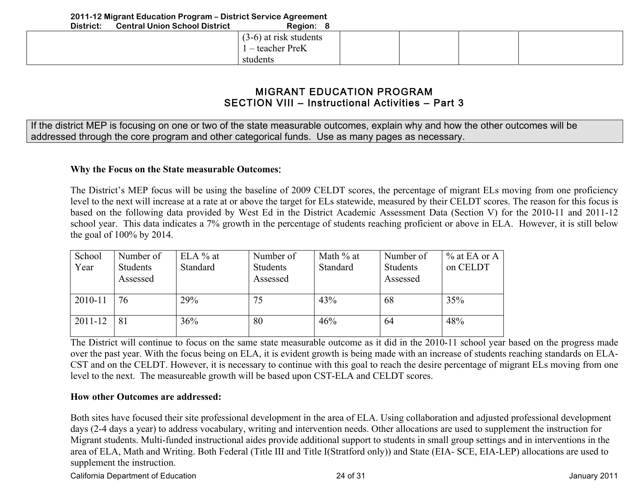# MIGRANT EDUCATION PROGRAM SECTION VIII – Instructional Activities – Part 3

If the district MEP is focusing on one or two of the state measurable outcomes, explain why and how the other outcomes will be addressed through the core program and other categorical funds. Use as many pages as necessary.

## **Why the Focus on the State measurable Outcomes**:

The District's MEP focus will be using the baseline of 2009 CELDT scores, the percentage of migrant ELs moving from one proficiency level to the next will increase at a rate at or above the target for ELs statewide, measured by their CELDT scores. The reason for this focus is based on the following data provided by West Ed in the District Academic Assessment Data (Section V) for the 2010-11 and 2011-12 school year. This data indicates a 7% growth in the percentage of students reaching proficient or above in ELA. However, it is still below the goal of 100% by 2014.

| School<br>Year | Number of<br><b>Students</b><br>Assessed | $ELA \%$ at<br>Standard | Number of<br>Students<br>Assessed | Math % at<br>Standard | Number of<br>Students<br>Assessed | $\%$ at EA or A<br>on CELDT |
|----------------|------------------------------------------|-------------------------|-----------------------------------|-----------------------|-----------------------------------|-----------------------------|
| 2010-11        | 76                                       | 29%                     | 75                                | 43%                   | 68                                | 35%                         |
| $2011 - 12$    | 81                                       | 36%                     | 80                                | 46%                   | 64                                | 48%                         |

The District will continue to focus on the same state measurable outcome as it did in the 2010-11 school year based on the progress made over the past year. With the focus being on ELA, it is evident growth is being made with an increase of students reaching standards on ELA-CST and on the CELDT. However, it is necessary to continue with this goal to reach the desire percentage of migrant ELs moving from one level to the next. The measureable growth will be based upon CST-ELA and CELDT scores.

## **How other Outcomes are addressed:**

Both sites have focused their site professional development in the area of ELA. Using collaboration and adjusted professional development days (2-4 days a year) to address vocabulary, writing and intervention needs. Other allocations are used to supplement the instruction for Migrant students. Multi-funded instructional aides provide additional support to students in small group settings and in interventions in the area of ELA, Math and Writing. Both Federal (Title III and Title I(Stratford only)) and State (EIA- SCE, EIA-LEP) allocations are used to supplement the instruction.

California Department of Education 2001 124 of 31 California Department of Education 2011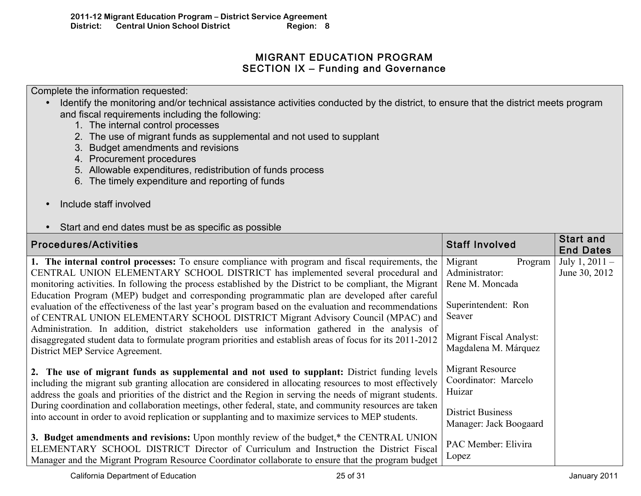# MIGRANT EDUCATION PROGRAM SECTION IX – Funding and Governance

Complete the information requested:

- Identify the monitoring and/or technical assistance activities conducted by the district, to ensure that the district meets program and fiscal requirements including the following:
	- 1. The internal control processes
	- 2. The use of migrant funds as supplemental and not used to supplant
	- 3. Budget amendments and revisions
	- 4. Procurement procedures
	- 5. Allowable expenditures, redistribution of funds process
	- 6. The timely expenditure and reporting of funds
- Include staff involved

# • Start and end dates must be as specific as possible

| <b>Procedures/Activities</b>                                                                                                                                                                                                                                                                                                                                                                  | <b>Staff Involved</b>                              | <b>Start and</b><br><b>End Dates</b> |
|-----------------------------------------------------------------------------------------------------------------------------------------------------------------------------------------------------------------------------------------------------------------------------------------------------------------------------------------------------------------------------------------------|----------------------------------------------------|--------------------------------------|
| 1. The internal control processes: To ensure compliance with program and fiscal requirements, the                                                                                                                                                                                                                                                                                             | Migrant<br>Program                                 | July 1, $2011 -$                     |
| CENTRAL UNION ELEMENTARY SCHOOL DISTRICT has implemented several procedural and                                                                                                                                                                                                                                                                                                               | Administrator:                                     | June 30, 2012                        |
| monitoring activities. In following the process established by the District to be compliant, the Migrant                                                                                                                                                                                                                                                                                      | Rene M. Moncada                                    |                                      |
| Education Program (MEP) budget and corresponding programmatic plan are developed after careful<br>evaluation of the effectiveness of the last year's program based on the evaluation and recommendations<br>of CENTRAL UNION ELEMENTARY SCHOOL DISTRICT Migrant Advisory Council (MPAC) and<br>Administration. In addition, district stakeholders use information gathered in the analysis of | Superintendent: Ron<br>Seaver                      |                                      |
| disaggregated student data to formulate program priorities and establish areas of focus for its 2011-2012                                                                                                                                                                                                                                                                                     | Migrant Fiscal Analyst:                            |                                      |
| District MEP Service Agreement.                                                                                                                                                                                                                                                                                                                                                               | Magdalena M. Márquez                               |                                      |
| 2. The use of migrant funds as supplemental and not used to supplant: District funding levels<br>including the migrant sub granting allocation are considered in allocating resources to most effectively<br>address the goals and priorities of the district and the Region in serving the needs of migrant students.                                                                        | Migrant Resource<br>Coordinator: Marcelo<br>Huizar |                                      |
| During coordination and collaboration meetings, other federal, state, and community resources are taken<br>into account in order to avoid replication or supplanting and to maximize services to MEP students.                                                                                                                                                                                | <b>District Business</b><br>Manager: Jack Boogaard |                                      |
| 3. Budget amendments and revisions: Upon monthly review of the budget,* the CENTRAL UNION<br>ELEMENTARY SCHOOL DISTRICT Director of Curriculum and Instruction the District Fiscal<br>Manager and the Migrant Program Resource Coordinator collaborate to ensure that the program budget                                                                                                      | PAC Member: Elivira<br>Lopez                       |                                      |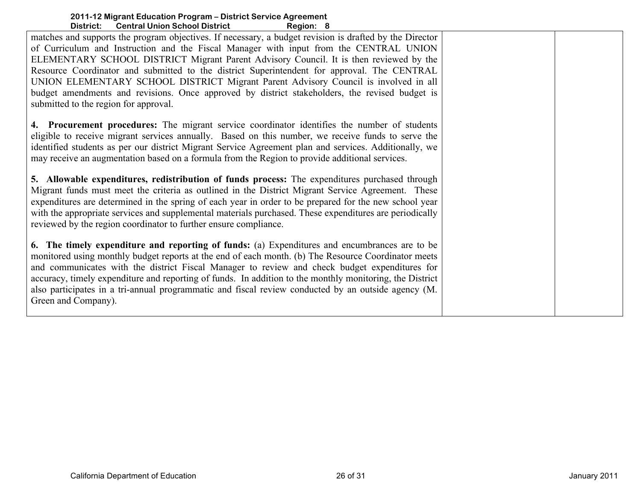| DIƏLI IVL.<br><b>Central Officit Scribbi District</b><br>ngyivii. v                                                                                                                                                                                                                                                                                                                                                                                                                                                                                                                                                          |  |
|------------------------------------------------------------------------------------------------------------------------------------------------------------------------------------------------------------------------------------------------------------------------------------------------------------------------------------------------------------------------------------------------------------------------------------------------------------------------------------------------------------------------------------------------------------------------------------------------------------------------------|--|
| matches and supports the program objectives. If necessary, a budget revision is drafted by the Director<br>of Curriculum and Instruction and the Fiscal Manager with input from the CENTRAL UNION<br>ELEMENTARY SCHOOL DISTRICT Migrant Parent Advisory Council. It is then reviewed by the<br>Resource Coordinator and submitted to the district Superintendent for approval. The CENTRAL<br>UNION ELEMENTARY SCHOOL DISTRICT Migrant Parent Advisory Council is involved in all<br>budget amendments and revisions. Once approved by district stakeholders, the revised budget is<br>submitted to the region for approval. |  |
| 4. Procurement procedures: The migrant service coordinator identifies the number of students<br>eligible to receive migrant services annually. Based on this number, we receive funds to serve the<br>identified students as per our district Migrant Service Agreement plan and services. Additionally, we<br>may receive an augmentation based on a formula from the Region to provide additional services.                                                                                                                                                                                                                |  |
| 5. Allowable expenditures, redistribution of funds process: The expenditures purchased through<br>Migrant funds must meet the criteria as outlined in the District Migrant Service Agreement. These<br>expenditures are determined in the spring of each year in order to be prepared for the new school year<br>with the appropriate services and supplemental materials purchased. These expenditures are periodically<br>reviewed by the region coordinator to further ensure compliance.                                                                                                                                 |  |
| 6. The timely expenditure and reporting of funds: (a) Expenditures and encumbrances are to be<br>monitored using monthly budget reports at the end of each month. (b) The Resource Coordinator meets<br>and communicates with the district Fiscal Manager to review and check budget expenditures for<br>accuracy, timely expenditure and reporting of funds. In addition to the monthly monitoring, the District<br>also participates in a tri-annual programmatic and fiscal review conducted by an outside agency (M.<br>Green and Company).                                                                              |  |
|                                                                                                                                                                                                                                                                                                                                                                                                                                                                                                                                                                                                                              |  |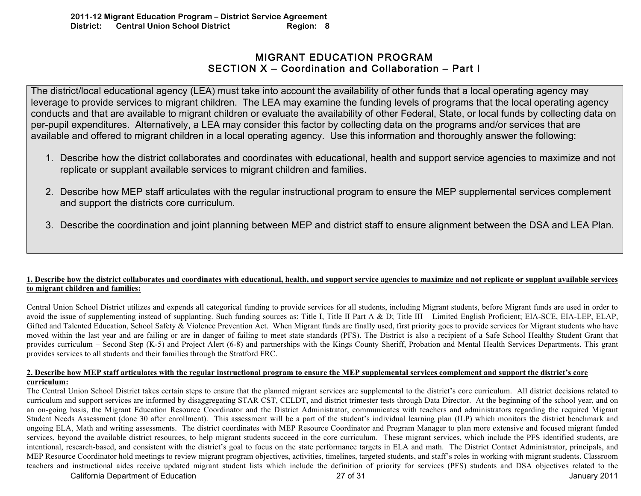# MIGRANT EDUCATION PROGRAM SECTION X – Coordination and Collaboration – Part I

The district/local educational agency (LEA) must take into account the availability of other funds that a local operating agency may leverage to provide services to migrant children. The LEA may examine the funding levels of programs that the local operating agency conducts and that are available to migrant children or evaluate the availability of other Federal, State, or local funds by collecting data on per-pupil expenditures. Alternatively, a LEA may consider this factor by collecting data on the programs and/or services that are available and offered to migrant children in a local operating agency. Use this information and thoroughly answer the following:

- 1. Describe how the district collaborates and coordinates with educational, health and support service agencies to maximize and not replicate or supplant available services to migrant children and families.
- 2. Describe how MEP staff articulates with the regular instructional program to ensure the MEP supplemental services complement and support the districts core curriculum.
- 3. Describe the coordination and joint planning between MEP and district staff to ensure alignment between the DSA and LEA Plan.

## **1. Describe how the district collaborates and coordinates with educational, health, and support service agencies to maximize and not replicate or supplant available services to migrant children and families:**

Central Union School District utilizes and expends all categorical funding to provide services for all students, including Migrant students, before Migrant funds are used in order to avoid the issue of supplementing instead of supplanting. Such funding sources as: Title I, Title II Part A & D; Title III – Limited English Proficient; EIA-SCE, EIA-LEP, ELAP, Gifted and Talented Education, School Safety & Violence Prevention Act. When Migrant funds are finally used, first priority goes to provide services for Migrant students who have moved within the last year and are failing or are in danger of failing to meet state standards (PFS). The District is also a recipient of a Safe School Healthy Student Grant that provides curriculum – Second Step (K-5) and Project Alert (6-8) and partnerships with the Kings County Sheriff, Probation and Mental Health Services Departments. This grant provides services to all students and their families through the Stratford FRC.

#### **2. Describe how MEP staff articulates with the regular instructional program to ensure the MEP supplemental services complement and support the district's core curriculum:**

The Central Union School District takes certain steps to ensure that the planned migrant services are supplemental to the district's core curriculum. All district decisions related to curriculum and support services are informed by disaggregating STAR CST, CELDT, and district trimester tests through Data Director. At the beginning of the school year, and on an on-going basis, the Migrant Education Resource Coordinator and the District Administrator, communicates with teachers and administrators regarding the required Migrant Student Needs Assessment (done 30 after enrollment). This assessment will be a part of the student's individual learning plan (ILP) which monitors the district benchmark and ongoing ELA, Math and writing assessments. The district coordinates with MEP Resource Coordinator and Program Manager to plan more extensive and focused migrant funded services, beyond the available district resources, to help migrant students succeed in the core curriculum. These migrant services, which include the PFS identified students, are intentional, research-based, and consistent with the district's goal to focus on the state performance targets in ELA and math. The District Contact Administrator, principals, and MEP Resource Coordinator hold meetings to review migrant program objectives, activities, timelines, targeted students, and staff's roles in working with migrant students. Classroom teachers and instructional aides receive updated migrant student lists which include the definition of priority for services (PFS) students and DSA objectives related to the

California Department of Education 2001 127 of 31 California Department of Education 2001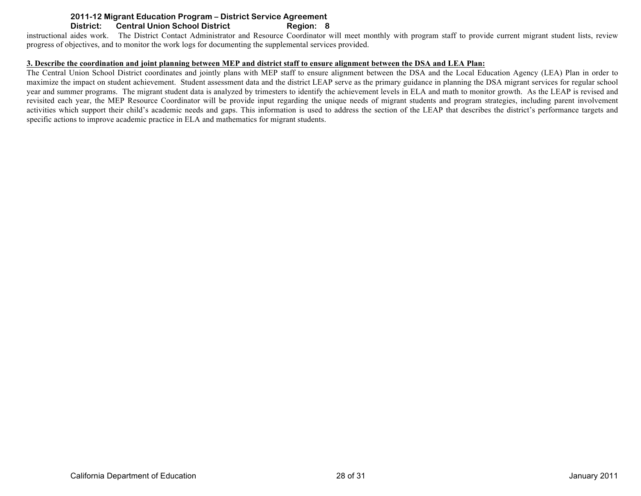instructional aides work. The District Contact Administrator and Resource Coordinator will meet monthly with program staff to provide current migrant student lists, review progress of objectives, and to monitor the work logs for documenting the supplemental services provided.

#### **3. Describe the coordination and joint planning between MEP and district staff to ensure alignment between the DSA and LEA Plan:**

The Central Union School District coordinates and jointly plans with MEP staff to ensure alignment between the DSA and the Local Education Agency (LEA) Plan in order to maximize the impact on student achievement. Student assessment data and the district LEAP serve as the primary guidance in planning the DSA migrant services for regular school year and summer programs. The migrant student data is analyzed by trimesters to identify the achievement levels in ELA and math to monitor growth. As the LEAP is revised and revisited each year, the MEP Resource Coordinator will be provide input regarding the unique needs of migrant students and program strategies, including parent involvement activities which support their child's academic needs and gaps. This information is used to address the section of the LEAP that describes the district's performance targets and specific actions to improve academic practice in ELA and mathematics for migrant students.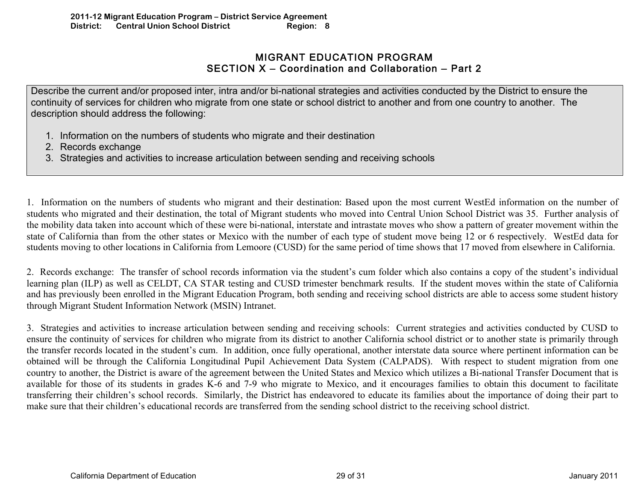## MIGRANT EDUCATION PROGRAM SECTION X – Coordination and Collaboration – Part 2

Describe the current and/or proposed inter, intra and/or bi-national strategies and activities conducted by the District to ensure the continuity of services for children who migrate from one state or school district to another and from one country to another. The description should address the following:

- 1. Information on the numbers of students who migrate and their destination
- 2. Records exchange
- 3. Strategies and activities to increase articulation between sending and receiving schools

1. Information on the numbers of students who migrant and their destination: Based upon the most current WestEd information on the number of students who migrated and their destination, the total of Migrant students who moved into Central Union School District was 35. Further analysis of the mobility data taken into account which of these were bi-national, interstate and intrastate moves who show a pattern of greater movement within the state of California than from the other states or Mexico with the number of each type of student move being 12 or 6 respectively. WestEd data for students moving to other locations in California from Lemoore (CUSD) for the same period of time shows that 17 moved from elsewhere in California.

2. Records exchange: The transfer of school records information via the student's cum folder which also contains a copy of the student's individual learning plan (ILP) as well as CELDT, CA STAR testing and CUSD trimester benchmark results. If the student moves within the state of California and has previously been enrolled in the Migrant Education Program, both sending and receiving school districts are able to access some student history through Migrant Student Information Network (MSIN) Intranet.

3. Strategies and activities to increase articulation between sending and receiving schools: Current strategies and activities conducted by CUSD to ensure the continuity of services for children who migrate from its district to another California school district or to another state is primarily through the transfer records located in the student's cum. In addition, once fully operational, another interstate data source where pertinent information can be obtained will be through the California Longitudinal Pupil Achievement Data System (CALPADS). With respect to student migration from one country to another, the District is aware of the agreement between the United States and Mexico which utilizes a Bi-national Transfer Document that is available for those of its students in grades K-6 and 7-9 who migrate to Mexico, and it encourages families to obtain this document to facilitate transferring their children's school records. Similarly, the District has endeavored to educate its families about the importance of doing their part to make sure that their children's educational records are transferred from the sending school district to the receiving school district.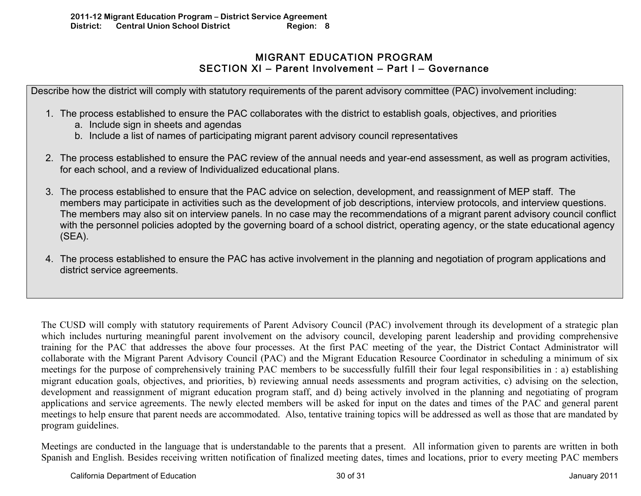# MIGRANT EDUCATION PROGRAM SECTION XI – Parent Involvement – Part I – Governance

Describe how the district will comply with statutory requirements of the parent advisory committee (PAC) involvement including:

- 1. The process established to ensure the PAC collaborates with the district to establish goals, objectives, and priorities
	- a. Include sign in sheets and agendas
	- b. Include a list of names of participating migrant parent advisory council representatives
- 2. The process established to ensure the PAC review of the annual needs and year-end assessment, as well as program activities, for each school, and a review of Individualized educational plans.
- 3. The process established to ensure that the PAC advice on selection, development, and reassignment of MEP staff. The members may participate in activities such as the development of job descriptions, interview protocols, and interview questions. The members may also sit on interview panels. In no case may the recommendations of a migrant parent advisory council conflict with the personnel policies adopted by the governing board of a school district, operating agency, or the state educational agency (SEA).
- 4. The process established to ensure the PAC has active involvement in the planning and negotiation of program applications and district service agreements.

The CUSD will comply with statutory requirements of Parent Advisory Council (PAC) involvement through its development of a strategic plan which includes nurturing meaningful parent involvement on the advisory council, developing parent leadership and providing comprehensive training for the PAC that addresses the above four processes. At the first PAC meeting of the year, the District Contact Administrator will collaborate with the Migrant Parent Advisory Council (PAC) and the Migrant Education Resource Coordinator in scheduling a minimum of six meetings for the purpose of comprehensively training PAC members to be successfully fulfill their four legal responsibilities in : a) establishing migrant education goals, objectives, and priorities, b) reviewing annual needs assessments and program activities, c) advising on the selection, development and reassignment of migrant education program staff, and d) being actively involved in the planning and negotiating of program applications and service agreements. The newly elected members will be asked for input on the dates and times of the PAC and general parent meetings to help ensure that parent needs are accommodated. Also, tentative training topics will be addressed as well as those that are mandated by program guidelines.

Meetings are conducted in the language that is understandable to the parents that a present. All information given to parents are written in both Spanish and English. Besides receiving written notification of finalized meeting dates, times and locations, prior to every meeting PAC members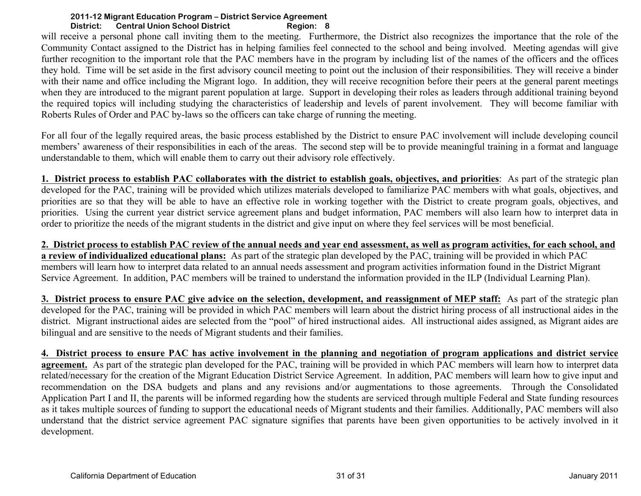will receive a personal phone call inviting them to the meeting. Furthermore, the District also recognizes the importance that the role of the Community Contact assigned to the District has in helping families feel connected to the school and being involved. Meeting agendas will give further recognition to the important role that the PAC members have in the program by including list of the names of the officers and the offices they hold. Time will be set aside in the first advisory council meeting to point out the inclusion of their responsibilities. They will receive a binder with their name and office including the Migrant logo. In addition, they will receive recognition before their peers at the general parent meetings when they are introduced to the migrant parent population at large. Support in developing their roles as leaders through additional training beyond the required topics will including studying the characteristics of leadership and levels of parent involvement. They will become familiar with Roberts Rules of Order and PAC by-laws so the officers can take charge of running the meeting.

For all four of the legally required areas, the basic process established by the District to ensure PAC involvement will include developing council members' awareness of their responsibilities in each of the areas. The second step will be to provide meaningful training in a format and language understandable to them, which will enable them to carry out their advisory role effectively.

**1. District process to establish PAC collaborates with the district to establish goals, objectives, and priorities**: As part of the strategic plan developed for the PAC, training will be provided which utilizes materials developed to familiarize PAC members with what goals, objectives, and priorities are so that they will be able to have an effective role in working together with the District to create program goals, objectives, and priorities. Using the current year district service agreement plans and budget information, PAC members will also learn how to interpret data in order to prioritize the needs of the migrant students in the district and give input on where they feel services will be most beneficial.

**2. District process to establish PAC review of the annual needs and year end assessment, as well as program activities, for each school, and a review of individualized educational plans:** As part of the strategic plan developed by the PAC, training will be provided in which PAC members will learn how to interpret data related to an annual needs assessment and program activities information found in the District Migrant Service Agreement. In addition, PAC members will be trained to understand the information provided in the ILP (Individual Learning Plan).

**3. District process to ensure PAC give advice on the selection, development, and reassignment of MEP staff:** As part of the strategic plan developed for the PAC, training will be provided in which PAC members will learn about the district hiring process of all instructional aides in the district. Migrant instructional aides are selected from the "pool" of hired instructional aides. All instructional aides assigned, as Migrant aides are bilingual and are sensitive to the needs of Migrant students and their families.

**4. District process to ensure PAC has active involvement in the planning and negotiation of program applications and district service agreement.** As part of the strategic plan developed for the PAC, training will be provided in which PAC members will learn how to interpret data related/necessary for the creation of the Migrant Education District Service Agreement. In addition, PAC members will learn how to give input and recommendation on the DSA budgets and plans and any revisions and/or augmentations to those agreements. Through the Consolidated Application Part I and II, the parents will be informed regarding how the students are serviced through multiple Federal and State funding resources as it takes multiple sources of funding to support the educational needs of Migrant students and their families. Additionally, PAC members will also understand that the district service agreement PAC signature signifies that parents have been given opportunities to be actively involved in it development.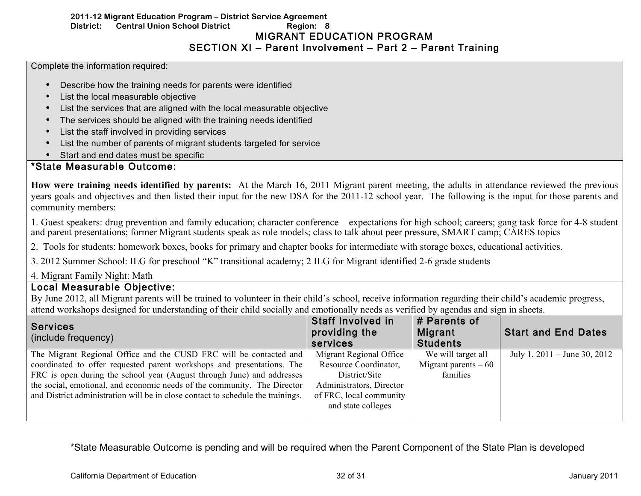## **2011-12 Migrant Education Program – District Service Agreement District: Central Union School District Region: 8**  MIGRANT EDUCATION PROGRAM SECTION XI – Parent Involvement – Part 2 – Parent Training

Complete the information required:

- Describe how the training needs for parents were identified
- List the local measurable objective
- List the services that are aligned with the local measurable objective
- The services should be aligned with the training needs identified
- List the staff involved in providing services
- List the number of parents of migrant students targeted for service
- Start and end dates must be specific

# \*State Measurable Outcome:

**How were training needs identified by parents:** At the March 16, 2011 Migrant parent meeting, the adults in attendance reviewed the previous years goals and objectives and then listed their input for the new DSA for the 2011-12 school year. The following is the input for those parents and community members:

1. Guest speakers: drug prevention and family education; character conference – expectations for high school; careers; gang task force for 4-8 student and parent presentations; former Migrant students speak as role models; class to talk about peer pressure, SMART camp; CARES topics

2. Tools for students: homework boxes, books for primary and chapter books for intermediate with storage boxes, educational activities.

3. 2012 Summer School: ILG for preschool "K" transitional academy; 2 ILG for Migrant identified 2-6 grade students

4. Migrant Family Night: Math

## Local Measurable Objective:

By June 2012, all Migrant parents will be trained to volunteer in their child's school, receive information regarding their child's academic progress, attend workshops designed for understanding of their child socially and emotionally needs as verified by agendas and sign in sheets.

| <b>Services</b><br>(include frequency)                                          | <b>Staff Involved in</b><br>providing the<br>services | # Parents of<br>Migrant<br><b>Students</b> | <b>Start and End Dates</b>       |
|---------------------------------------------------------------------------------|-------------------------------------------------------|--------------------------------------------|----------------------------------|
| The Migrant Regional Office and the CUSD FRC will be contacted and              | Migrant Regional Office                               | We will target all                         | July 1, $2011 -$ June 30, $2012$ |
| coordinated to offer requested parent workshops and presentations. The          | Resource Coordinator,                                 | Migrant parents $-60$                      |                                  |
| FRC is open during the school year (August through June) and addresses          | District/Site                                         | families                                   |                                  |
| the social, emotional, and economic needs of the community. The Director        | Administrators, Director                              |                                            |                                  |
| and District administration will be in close contact to schedule the trainings. | of FRC, local community                               |                                            |                                  |
|                                                                                 | and state colleges                                    |                                            |                                  |
|                                                                                 |                                                       |                                            |                                  |

\*State Measurable Outcome is pending and will be required when the Parent Component of the State Plan is developed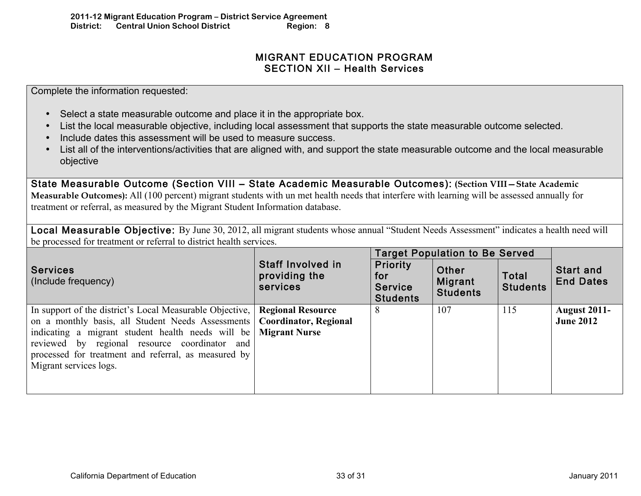# MIGRANT EDUCATION PROGRAM SECTION XII – Health Services

Complete the information requested:

- Select a state measurable outcome and place it in the appropriate box.
- List the local measurable objective, including local assessment that supports the state measurable outcome selected.
- Include dates this assessment will be used to measure success.
- List all of the interventions/activities that are aligned with, and support the state measurable outcome and the local measurable objective

State Measurable Outcome (Section VIII – State Academic Measurable Outcomes): **(Section VIII—State Academic Measurable Outcomes):** All (100 percent) migrant students with un met health needs that interfere with learning will be assessed annually for treatment or referral, as measured by the Migrant Student Information database.

Local Measurable Objective: By June 30, 2012, all migrant students whose annual "Student Needs Assessment" indicates a health need will be processed for treatment or referral to district health services.

|                                                                                                                                                                                                                                                                                                       |                                                                                  |                                                             | <b>Target Population to Be Served</b> |                          |                                         |
|-------------------------------------------------------------------------------------------------------------------------------------------------------------------------------------------------------------------------------------------------------------------------------------------------------|----------------------------------------------------------------------------------|-------------------------------------------------------------|---------------------------------------|--------------------------|-----------------------------------------|
| <b>Services</b><br>(Include frequency)                                                                                                                                                                                                                                                                | Staff Involved in<br>providing the<br>services                                   | <b>Priority</b><br>for<br><b>Service</b><br><b>Students</b> | Other<br>Migrant<br><b>Students</b>   | Total<br><b>Students</b> | <b>Start and</b><br><b>End Dates</b>    |
| In support of the district's Local Measurable Objective,<br>on a monthly basis, all Student Needs Assessments<br>indicating a migrant student health needs will be<br>reviewed by regional resource coordinator and<br>processed for treatment and referral, as measured by<br>Migrant services logs. | <b>Regional Resource</b><br><b>Coordinator, Regional</b><br><b>Migrant Nurse</b> | 8                                                           | 107                                   | 115                      | <b>August 2011-</b><br><b>June 2012</b> |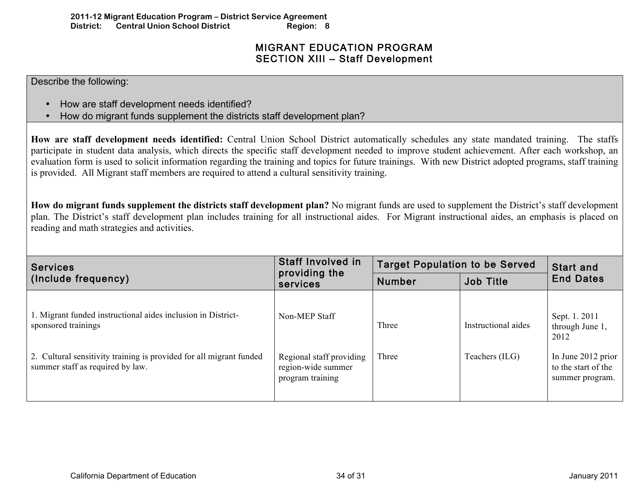# MIGRANT EDUCATION PROGRAM SECTION XIII – Staff Development

Describe the following:

- How are staff development needs identified?
- How do migrant funds supplement the districts staff development plan?

**How are staff development needs identified:** Central Union School District automatically schedules any state mandated training. The staffs participate in student data analysis, which directs the specific staff development needed to improve student achievement. After each workshop, an evaluation form is used to solicit information regarding the training and topics for future trainings. With new District adopted programs, staff training is provided. All Migrant staff members are required to attend a cultural sensitivity training.

**How do migrant funds supplement the districts staff development plan?** No migrant funds are used to supplement the District's staff development plan. The District's staff development plan includes training for all instructional aides. For Migrant instructional aides, an emphasis is placed on reading and math strategies and activities.

| <b>Services</b>                                                                                         | <b>Staff Involved in</b>                                           | <b>Target Population to be Served</b> |                     | <b>Start and</b>                                             |  |
|---------------------------------------------------------------------------------------------------------|--------------------------------------------------------------------|---------------------------------------|---------------------|--------------------------------------------------------------|--|
| (Include frequency)                                                                                     | providing the<br>services                                          | <b>Number</b>                         | <b>Job Title</b>    |                                                              |  |
| 1. Migrant funded instructional aides inclusion in District-<br>sponsored trainings                     | Non-MEP Staff                                                      | Three                                 | Instructional aides | Sept. 1. 2011<br>through June 1,<br>2012                     |  |
| 2. Cultural sensitivity training is provided for all migrant funded<br>summer staff as required by law. | Regional staff providing<br>region-wide summer<br>program training | Three                                 | Teachers (ILG)      | In June 2012 prior<br>to the start of the<br>summer program. |  |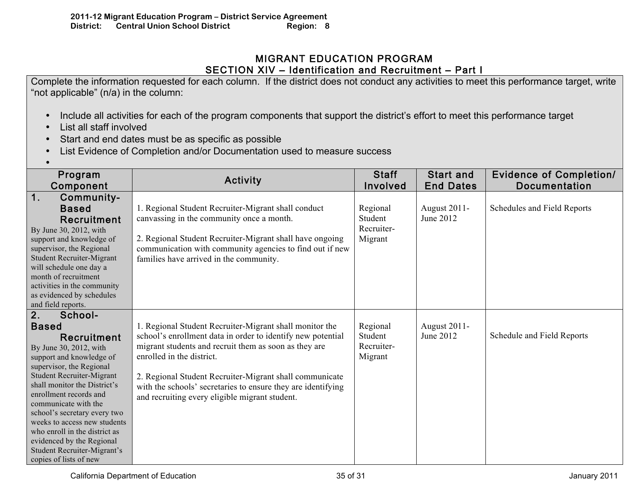# MIGRANT EDUCATION PROGRAM SECTION XIV – Identification and Recruitment – Part I

Complete the information requested for each column. If the district does not conduct any activities to meet this performance target, write "not applicable" (n/a) in the column:

- Include all activities for each of the program components that support the district's effort to meet this performance target
- List all staff involved
- Start and end dates must be as specific as possible
- List Evidence of Completion and/or Documentation used to measure success
- •

| Program<br>Component                                                                                                                                                                                                                                                                                                                                                                                                                        | Activity                                                                                                                                                                                                                                                                                                                                                                                  | <b>Staff</b><br>Involved                     | <b>Start and</b><br><b>End Dates</b> | <b>Evidence of Completion/</b><br><b>Documentation</b> |
|---------------------------------------------------------------------------------------------------------------------------------------------------------------------------------------------------------------------------------------------------------------------------------------------------------------------------------------------------------------------------------------------------------------------------------------------|-------------------------------------------------------------------------------------------------------------------------------------------------------------------------------------------------------------------------------------------------------------------------------------------------------------------------------------------------------------------------------------------|----------------------------------------------|--------------------------------------|--------------------------------------------------------|
| $\mathbf 1$ .<br>Community-<br><b>Based</b><br>Recruitment<br>By June 30, 2012, with<br>support and knowledge of<br>supervisor, the Regional<br><b>Student Recruiter-Migrant</b><br>will schedule one day a<br>month of recruitment<br>activities in the community<br>as evidenced by schedules<br>and field reports.                                                                                                                       | 1. Regional Student Recruiter-Migrant shall conduct<br>canvassing in the community once a month.<br>2. Regional Student Recruiter-Migrant shall have ongoing<br>communication with community agencies to find out if new<br>families have arrived in the community.                                                                                                                       | Regional<br>Student<br>Recruiter-<br>Migrant | August 2011-<br>June 2012            | Schedules and Field Reports                            |
| 2.<br>School-<br><b>Based</b><br>Recruitment<br>By June 30, 2012, with<br>support and knowledge of<br>supervisor, the Regional<br><b>Student Recruiter-Migrant</b><br>shall monitor the District's<br>enrollment records and<br>communicate with the<br>school's secretary every two<br>weeks to access new students<br>who enroll in the district as<br>evidenced by the Regional<br>Student Recruiter-Migrant's<br>copies of lists of new | 1. Regional Student Recruiter-Migrant shall monitor the<br>school's enrollment data in order to identify new potential<br>migrant students and recruit them as soon as they are<br>enrolled in the district.<br>2. Regional Student Recruiter-Migrant shall communicate<br>with the schools' secretaries to ensure they are identifying<br>and recruiting every eligible migrant student. | Regional<br>Student<br>Recruiter-<br>Migrant | August 2011-<br>June 2012            | Schedule and Field Reports                             |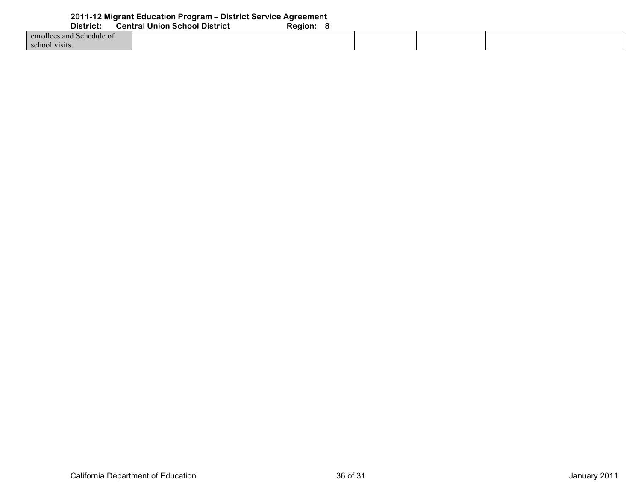| <b>PIOLITOL.</b>          | <u>ochuar omon ochocr biou iot</u> | . |  |  |
|---------------------------|------------------------------------|---|--|--|
| enrollees and Schedule of |                                    |   |  |  |
| school visits.            |                                    |   |  |  |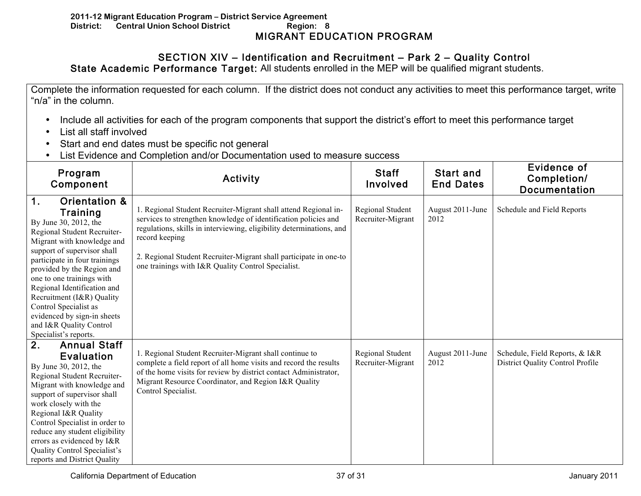# SECTION XIV – Identification and Recruitment – Park 2 – Quality Control

State Academic Performance Target: All students enrolled in the MEP will be qualified migrant students.

Complete the information requested for each column. If the district does not conduct any activities to meet this performance target, write "n/a" in the column.

- Include all activities for each of the program components that support the district's effort to meet this performance target
- List all staff involved
- Start and end dates must be specific not general
- List Evidence and Completion and/or Documentation used to measure success

| Program<br>Activity<br>Component                                                                                                                                                                                                                                                                                                                                                                                                     |                                                                                                                                                                                                                                                                                                                                                         | <b>Staff</b><br>Involved              | <b>Start and</b><br><b>End Dates</b> | <b>Evidence of</b><br>Completion/<br><b>Documentation</b>                 |
|--------------------------------------------------------------------------------------------------------------------------------------------------------------------------------------------------------------------------------------------------------------------------------------------------------------------------------------------------------------------------------------------------------------------------------------|---------------------------------------------------------------------------------------------------------------------------------------------------------------------------------------------------------------------------------------------------------------------------------------------------------------------------------------------------------|---------------------------------------|--------------------------------------|---------------------------------------------------------------------------|
| 1 <sub>1</sub><br>Orientation &<br>Training<br>By June 30, 2012, the<br>Regional Student Recruiter-<br>Migrant with knowledge and<br>support of supervisor shall<br>participate in four trainings<br>provided by the Region and<br>one to one trainings with<br>Regional Identification and<br>Recruitment (I&R) Quality<br>Control Specialist as<br>evidenced by sign-in sheets<br>and I&R Quality Control<br>Specialist's reports. | 1. Regional Student Recruiter-Migrant shall attend Regional in-<br>services to strengthen knowledge of identification policies and<br>regulations, skills in interviewing, eligibility determinations, and<br>record keeping<br>2. Regional Student Recruiter-Migrant shall participate in one-to<br>one trainings with I&R Quality Control Specialist. | Regional Student<br>Recruiter-Migrant | August 2011-June<br>2012             | Schedule and Field Reports                                                |
| 2.<br><b>Annual Staff</b><br><b>Evaluation</b><br>By June 30, 2012, the<br>Regional Student Recruiter-<br>Migrant with knowledge and<br>support of supervisor shall<br>work closely with the<br>Regional I&R Quality<br>Control Specialist in order to<br>reduce any student eligibility<br>errors as evidenced by I&R<br>Quality Control Specialist's<br>reports and District Quality                                               | 1. Regional Student Recruiter-Migrant shall continue to<br>complete a field report of all home visits and record the results<br>of the home visits for review by district contact Administrator,<br>Migrant Resource Coordinator, and Region I&R Quality<br>Control Specialist.                                                                         | Regional Student<br>Recruiter-Migrant | August 2011-June<br>2012             | Schedule, Field Reports, & I&R<br><b>District Quality Control Profile</b> |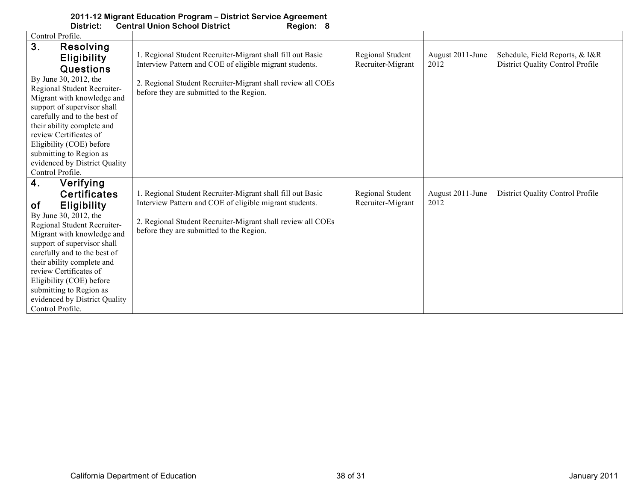|                  | District:                                                                                                                                                                                                                                                                                         | <b>Central Union School District</b><br>Region: 8                                                                     |                                       |                          |                                                                    |
|------------------|---------------------------------------------------------------------------------------------------------------------------------------------------------------------------------------------------------------------------------------------------------------------------------------------------|-----------------------------------------------------------------------------------------------------------------------|---------------------------------------|--------------------------|--------------------------------------------------------------------|
| Control Profile. |                                                                                                                                                                                                                                                                                                   |                                                                                                                       |                                       |                          |                                                                    |
| 3.               | Resolving<br><b>Eligibility</b><br>Questions                                                                                                                                                                                                                                                      | 1. Regional Student Recruiter-Migrant shall fill out Basic<br>Interview Pattern and COE of eligible migrant students. | Regional Student<br>Recruiter-Migrant | August 2011-June<br>2012 | Schedule, Field Reports, & I&R<br>District Quality Control Profile |
| Control Profile. | By June 30, 2012, the<br>Regional Student Recruiter-<br>Migrant with knowledge and<br>support of supervisor shall<br>carefully and to the best of<br>their ability complete and<br>review Certificates of<br>Eligibility (COE) before<br>submitting to Region as<br>evidenced by District Quality | 2. Regional Student Recruiter-Migrant shall review all COEs<br>before they are submitted to the Region.               |                                       |                          |                                                                    |
| 4.               | Verifying                                                                                                                                                                                                                                                                                         |                                                                                                                       |                                       |                          |                                                                    |
|                  | <b>Certificates</b>                                                                                                                                                                                                                                                                               | 1. Regional Student Recruiter-Migrant shall fill out Basic                                                            | Regional Student                      | August 2011-June         | District Quality Control Profile                                   |
| 0f               | <b>Eligibility</b>                                                                                                                                                                                                                                                                                | Interview Pattern and COE of eligible migrant students.                                                               | Recruiter-Migrant                     | 2012                     |                                                                    |
| Control Profile. | By June 30, 2012, the<br>Regional Student Recruiter-<br>Migrant with knowledge and<br>support of supervisor shall<br>carefully and to the best of<br>their ability complete and<br>review Certificates of<br>Eligibility (COE) before<br>submitting to Region as<br>evidenced by District Quality | 2. Regional Student Recruiter-Migrant shall review all COEs<br>before they are submitted to the Region.               |                                       |                          |                                                                    |

## **2011-12 Migrant Education Program – District Service Agreement**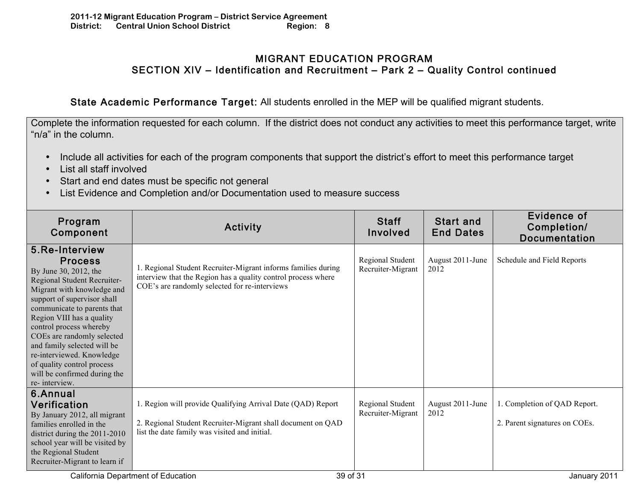## MIGRANT EDUCATION PROGRAM SECTION XIV – Identification and Recruitment – Park 2 – Quality Control continued

State Academic Performance Target: All students enrolled in the MEP will be qualified migrant students.

Complete the information requested for each column. If the district does not conduct any activities to meet this performance target, write "n/a" in the column.

- Include all activities for each of the program components that support the district's effort to meet this performance target
- List all staff involved
- Start and end dates must be specific not general
- List Evidence and Completion and/or Documentation used to measure success

| Program<br>Component                                                                                                                                                                                                                                                                                                                                                                                                  | Activity                                                                                                                                                                        | <b>Staff</b><br><b>Involved</b>       | <b>Start and</b><br><b>End Dates</b> | Evidence of<br>Completion/<br><b>Documentation</b>            |
|-----------------------------------------------------------------------------------------------------------------------------------------------------------------------------------------------------------------------------------------------------------------------------------------------------------------------------------------------------------------------------------------------------------------------|---------------------------------------------------------------------------------------------------------------------------------------------------------------------------------|---------------------------------------|--------------------------------------|---------------------------------------------------------------|
| 5.Re-Interview<br><b>Process</b><br>By June 30, 2012, the<br>Regional Student Recruiter-<br>Migrant with knowledge and<br>support of supervisor shall<br>communicate to parents that<br>Region VIII has a quality<br>control process whereby<br>COEs are randomly selected<br>and family selected will be<br>re-interviewed. Knowledge<br>of quality control process<br>will be confirmed during the<br>re-interview. | 1. Regional Student Recruiter-Migrant informs families during<br>interview that the Region has a quality control process where<br>COE's are randomly selected for re-interviews | Regional Student<br>Recruiter-Migrant | August 2011-June<br>2012             | Schedule and Field Reports                                    |
| 6.Annual<br><b>Verification</b><br>By January 2012, all migrant<br>families enrolled in the<br>district during the $2011-2010$<br>school year will be visited by<br>the Regional Student<br>Recruiter-Migrant to learn if                                                                                                                                                                                             | 1. Region will provide Qualifying Arrival Date (QAD) Report<br>2. Regional Student Recruiter-Migrant shall document on QAD<br>list the date family was visited and initial.     | Regional Student<br>Recruiter-Migrant | August 2011-June<br>2012             | 1. Completion of QAD Report.<br>2. Parent signatures on COEs. |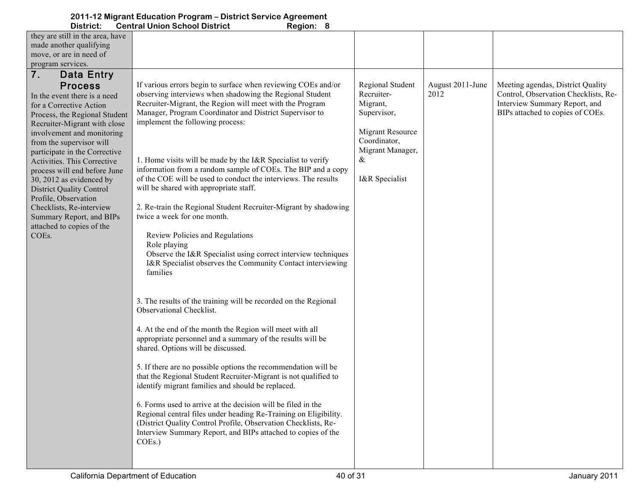| District:                                                                                                                                                                                                                                                                                                                                                                                                                                                                                                                                                     | <b>Central Union School District</b><br>Region: 8                                                                                                                                                                                                                                                                                                                                                                                                                                                                                                                                                                                                                                                                                                                                                                                                                                                                                                                                                                                                                                                                                                                |                                                                                                                                                        |                          |                                                                                                                                                |
|---------------------------------------------------------------------------------------------------------------------------------------------------------------------------------------------------------------------------------------------------------------------------------------------------------------------------------------------------------------------------------------------------------------------------------------------------------------------------------------------------------------------------------------------------------------|------------------------------------------------------------------------------------------------------------------------------------------------------------------------------------------------------------------------------------------------------------------------------------------------------------------------------------------------------------------------------------------------------------------------------------------------------------------------------------------------------------------------------------------------------------------------------------------------------------------------------------------------------------------------------------------------------------------------------------------------------------------------------------------------------------------------------------------------------------------------------------------------------------------------------------------------------------------------------------------------------------------------------------------------------------------------------------------------------------------------------------------------------------------|--------------------------------------------------------------------------------------------------------------------------------------------------------|--------------------------|------------------------------------------------------------------------------------------------------------------------------------------------|
| they are still in the area, have                                                                                                                                                                                                                                                                                                                                                                                                                                                                                                                              |                                                                                                                                                                                                                                                                                                                                                                                                                                                                                                                                                                                                                                                                                                                                                                                                                                                                                                                                                                                                                                                                                                                                                                  |                                                                                                                                                        |                          |                                                                                                                                                |
| made another qualifying                                                                                                                                                                                                                                                                                                                                                                                                                                                                                                                                       |                                                                                                                                                                                                                                                                                                                                                                                                                                                                                                                                                                                                                                                                                                                                                                                                                                                                                                                                                                                                                                                                                                                                                                  |                                                                                                                                                        |                          |                                                                                                                                                |
|                                                                                                                                                                                                                                                                                                                                                                                                                                                                                                                                                               |                                                                                                                                                                                                                                                                                                                                                                                                                                                                                                                                                                                                                                                                                                                                                                                                                                                                                                                                                                                                                                                                                                                                                                  |                                                                                                                                                        |                          |                                                                                                                                                |
|                                                                                                                                                                                                                                                                                                                                                                                                                                                                                                                                                               |                                                                                                                                                                                                                                                                                                                                                                                                                                                                                                                                                                                                                                                                                                                                                                                                                                                                                                                                                                                                                                                                                                                                                                  |                                                                                                                                                        |                          |                                                                                                                                                |
|                                                                                                                                                                                                                                                                                                                                                                                                                                                                                                                                                               |                                                                                                                                                                                                                                                                                                                                                                                                                                                                                                                                                                                                                                                                                                                                                                                                                                                                                                                                                                                                                                                                                                                                                                  |                                                                                                                                                        |                          |                                                                                                                                                |
| move, or are in need of<br>program services.<br>7.<br>Data Entry<br><b>Process</b><br>In the event there is a need<br>for a Corrective Action<br>Process, the Regional Student<br>Recruiter-Migrant with close<br>involvement and monitoring<br>from the supervisor will<br>participate in the Corrective<br>Activities. This Corrective<br>process will end before June<br>30, 2012 as evidenced by<br><b>District Quality Control</b><br>Profile, Observation<br>Checklists, Re-interview<br>Summary Report, and BIPs<br>attached to copies of the<br>COEs. | If various errors begin to surface when reviewing COEs and/or<br>observing interviews when shadowing the Regional Student<br>Recruiter-Migrant, the Region will meet with the Program<br>Manager, Program Coordinator and District Supervisor to<br>implement the following process:<br>1. Home visits will be made by the I&R Specialist to verify<br>information from a random sample of COEs. The BIP and a copy<br>of the COE will be used to conduct the interviews. The results<br>will be shared with appropriate staff.<br>2. Re-train the Regional Student Recruiter-Migrant by shadowing<br>twice a week for one month.<br>Review Policies and Regulations<br>Role playing<br>Observe the I&R Specialist using correct interview techniques<br>I&R Specialist observes the Community Contact interviewing<br>families<br>3. The results of the training will be recorded on the Regional<br>Observational Checklist.<br>4. At the end of the month the Region will meet with all<br>appropriate personnel and a summary of the results will be<br>shared. Options will be discussed.<br>5. If there are no possible options the recommendation will be | <b>Regional Student</b><br>Recruiter-<br>Migrant,<br>Supervisor,<br><b>Migrant Resource</b><br>Coordinator,<br>Migrant Manager,<br>&<br>I&R Specialist | August 2011-June<br>2012 | Meeting agendas, District Quality<br>Control, Observation Checklists, Re-<br>Interview Summary Report, and<br>BIPs attached to copies of COEs. |
|                                                                                                                                                                                                                                                                                                                                                                                                                                                                                                                                                               | that the Regional Student Recruiter-Migrant is not qualified to<br>identify migrant families and should be replaced.                                                                                                                                                                                                                                                                                                                                                                                                                                                                                                                                                                                                                                                                                                                                                                                                                                                                                                                                                                                                                                             |                                                                                                                                                        |                          |                                                                                                                                                |
|                                                                                                                                                                                                                                                                                                                                                                                                                                                                                                                                                               | 6. Forms used to arrive at the decision will be filed in the<br>Regional central files under heading Re-Training on Eligibility.<br>(District Quality Control Profile, Observation Checklists, Re-<br>Interview Summary Report, and BIPs attached to copies of the<br>COEs.)                                                                                                                                                                                                                                                                                                                                                                                                                                                                                                                                                                                                                                                                                                                                                                                                                                                                                     |                                                                                                                                                        |                          |                                                                                                                                                |
|                                                                                                                                                                                                                                                                                                                                                                                                                                                                                                                                                               |                                                                                                                                                                                                                                                                                                                                                                                                                                                                                                                                                                                                                                                                                                                                                                                                                                                                                                                                                                                                                                                                                                                                                                  |                                                                                                                                                        |                          |                                                                                                                                                |

# **2011-12 Migrant Education Program – District Service Agreement**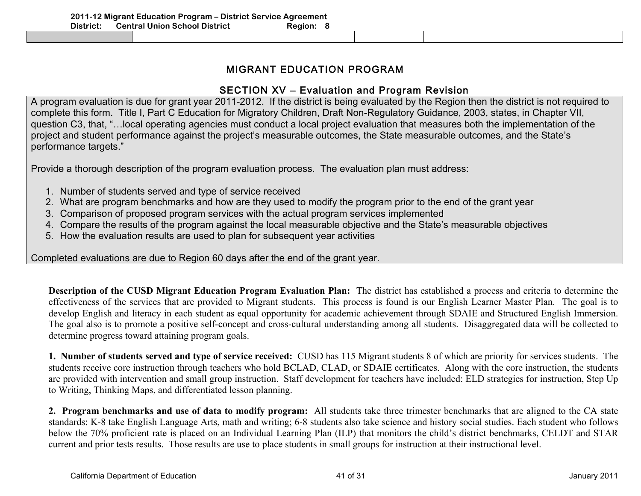# MIGRANT EDUCATION PROGRAM

# SECTION XV – Evaluation and Program Revision

A program evaluation is due for grant year 2011-2012. If the district is being evaluated by the Region then the district is not required to complete this form. Title I, Part C Education for Migratory Children, Draft Non-Regulatory Guidance, 2003, states, in Chapter VII, question C3, that, "…local operating agencies must conduct a local project evaluation that measures both the implementation of the project and student performance against the project's measurable outcomes, the State measurable outcomes, and the State's performance targets."

Provide a thorough description of the program evaluation process. The evaluation plan must address:

- 1. Number of students served and type of service received
- 2. What are program benchmarks and how are they used to modify the program prior to the end of the grant year
- 3. Comparison of proposed program services with the actual program services implemented
- 4. Compare the results of the program against the local measurable objective and the State's measurable objectives
- 5. How the evaluation results are used to plan for subsequent year activities

Completed evaluations are due to Region 60 days after the end of the grant year.

**Description of the CUSD Migrant Education Program Evaluation Plan:** The district has established a process and criteria to determine the effectiveness of the services that are provided to Migrant students. This process is found is our English Learner Master Plan. The goal is to develop English and literacy in each student as equal opportunity for academic achievement through SDAIE and Structured English Immersion. The goal also is to promote a positive self-concept and cross-cultural understanding among all students. Disaggregated data will be collected to determine progress toward attaining program goals.

**1. Number of students served and type of service received:** CUSD has 115 Migrant students 8 of which are priority for services students. The students receive core instruction through teachers who hold BCLAD, CLAD, or SDAIE certificates. Along with the core instruction, the students are provided with intervention and small group instruction. Staff development for teachers have included: ELD strategies for instruction, Step Up to Writing, Thinking Maps, and differentiated lesson planning.

**2. Program benchmarks and use of data to modify program:** All students take three trimester benchmarks that are aligned to the CA state standards: K-8 take English Language Arts, math and writing; 6-8 students also take science and history social studies. Each student who follows below the 70% proficient rate is placed on an Individual Learning Plan (ILP) that monitors the child's district benchmarks, CELDT and STAR current and prior tests results. Those results are use to place students in small groups for instruction at their instructional level.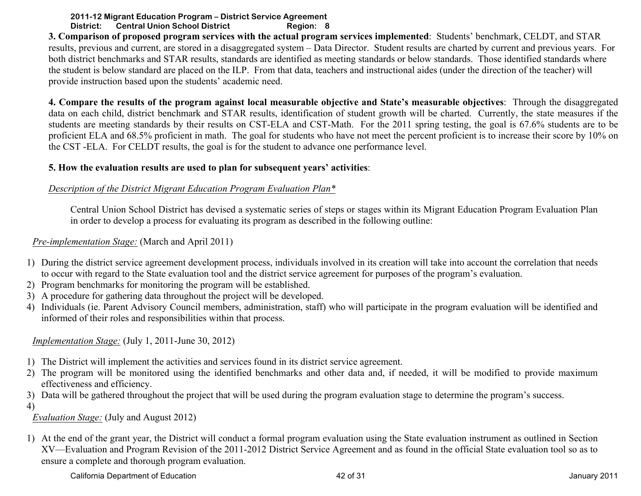**3. Comparison of proposed program services with the actual program services implemented**: Students' benchmark, CELDT, and STAR results, previous and current, are stored in a disaggregated system – Data Director. Student results are charted by current and previous years. For both district benchmarks and STAR results, standards are identified as meeting standards or below standards. Those identified standards where the student is below standard are placed on the ILP. From that data, teachers and instructional aides (under the direction of the teacher) will provide instruction based upon the students' academic need.

**4. Compare the results of the program against local measurable objective and State's measurable objectives**: Through the disaggregated data on each child, district benchmark and STAR results, identification of student growth will be charted. Currently, the state measures if the students are meeting standards by their results on CST-ELA and CST-Math. For the 2011 spring testing, the goal is 67.6% students are to be proficient ELA and 68.5% proficient in math. The goal for students who have not meet the percent proficient is to increase their score by 10% on the CST -ELA. For CELDT results, the goal is for the student to advance one performance level.

## **5. How the evaluation results are used to plan for subsequent years' activities**:

## *Description of the District Migrant Education Program Evaluation Plan\**

Central Union School District has devised a systematic series of steps or stages within its Migrant Education Program Evaluation Plan in order to develop a process for evaluating its program as described in the following outline:

## *Pre-implementation Stage:* (March and April 2011)

- 1) During the district service agreement development process, individuals involved in its creation will take into account the correlation that needs to occur with regard to the State evaluation tool and the district service agreement for purposes of the program's evaluation.
- 2) Program benchmarks for monitoring the program will be established.
- 3) A procedure for gathering data throughout the project will be developed.
- 4) Individuals (ie. Parent Advisory Council members, administration, staff) who will participate in the program evaluation will be identified and informed of their roles and responsibilities within that process.

*Implementation Stage:* (July 1, 2011-June 30, 2012)

- 1) The District will implement the activities and services found in its district service agreement.
- 2) The program will be monitored using the identified benchmarks and other data and, if needed, it will be modified to provide maximum effectiveness and efficiency.
- 3) Data will be gathered throughout the project that will be used during the program evaluation stage to determine the program's success.
- 4)

*Evaluation Stage:* (July and August 2012)

1) At the end of the grant year, the District will conduct a formal program evaluation using the State evaluation instrument as outlined in Section XV—Evaluation and Program Revision of the 2011-2012 District Service Agreement and as found in the official State evaluation tool so as to ensure a complete and thorough program evaluation.

California Department of Education and American control of the 42 of 31 California Department of Education and American control of the 42 of 31 January 2011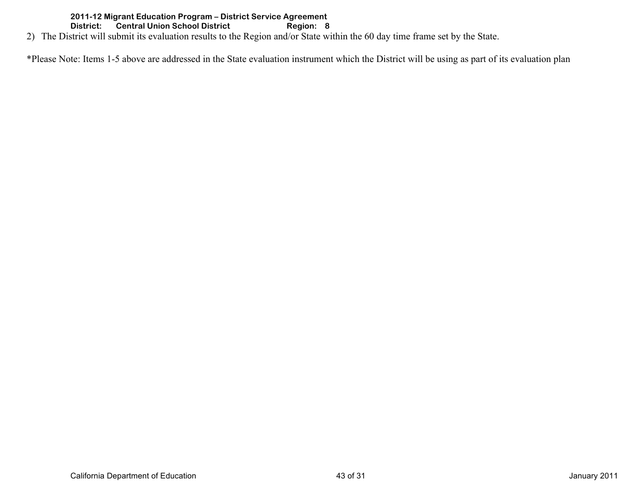2) The District will submit its evaluation results to the Region and/or State within the 60 day time frame set by the State.

\*Please Note: Items 1-5 above are addressed in the State evaluation instrument which the District will be using as part of its evaluation plan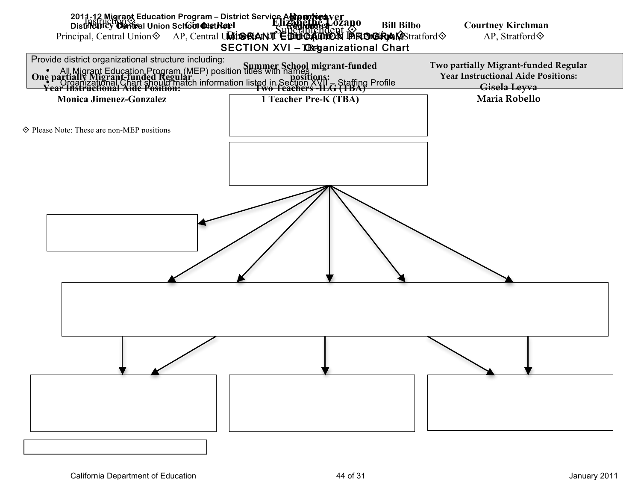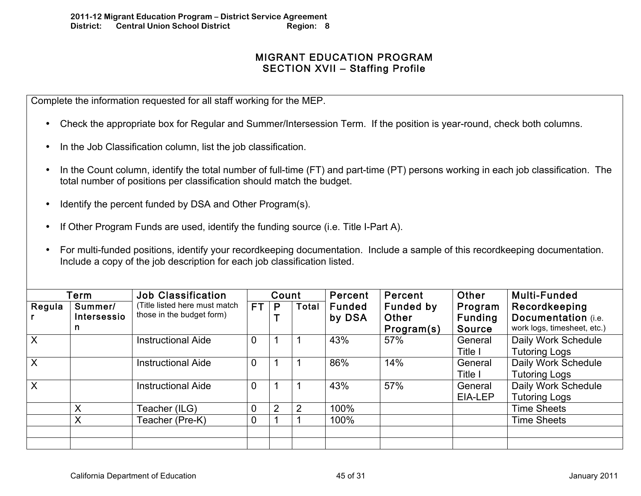# MIGRANT EDUCATION PROGRAM SECTION XVII – Staffing Profile

Complete the information requested for all staff working for the MEP.

- Check the appropriate box for Regular and Summer/Intersession Term. If the position is year-round, check both columns.
- In the Job Classification column, list the job classification.
- In the Count column, identify the total number of full-time (FT) and part-time (PT) persons working in each job classification. The total number of positions per classification should match the budget.
- Identify the percent funded by DSA and Other Program(s).
- If Other Program Funds are used, identify the funding source (i.e. Title I-Part A).
- For multi-funded positions, identify your recordkeeping documentation. Include a sample of this recordkeeping documentation. Include a copy of the job description for each job classification listed.

|                        | Term                         | <b>Job Classification</b>                                  |                | Count |       | Percent                 | Percent                                 | Other                                      | <b>Multi-Funded</b>                                                 |
|------------------------|------------------------------|------------------------------------------------------------|----------------|-------|-------|-------------------------|-----------------------------------------|--------------------------------------------|---------------------------------------------------------------------|
| Regula<br>$\mathsf{r}$ | Summer/<br>Intersessio<br>n. | (Title listed here must match<br>those in the budget form) | <b>FT</b>      | P     | Total | <b>Funded</b><br>by DSA | <b>Funded by</b><br>Other<br>Program(s) | Program<br><b>Funding</b><br><b>Source</b> | Recordkeeping<br>Documentation (i.e.<br>work logs, timesheet, etc.) |
| $\overline{X}$         |                              | <b>Instructional Aide</b>                                  | $\overline{0}$ |       |       | 43%                     | 57%                                     | General<br>Title I                         | Daily Work Schedule<br><b>Tutoring Logs</b>                         |
| $\mathsf{X}$           |                              | <b>Instructional Aide</b>                                  | $\overline{0}$ |       |       | 86%                     | 14%                                     | General<br>Title I                         | Daily Work Schedule<br><b>Tutoring Logs</b>                         |
| $\overline{X}$         |                              | <b>Instructional Aide</b>                                  | $\overline{0}$ |       |       | 43%                     | 57%                                     | General<br>EIA-LEP                         | Daily Work Schedule<br><b>Tutoring Logs</b>                         |
|                        | X                            | Teacher (ILG)                                              | $\overline{0}$ | 2     | 2     | 100%                    |                                         |                                            | <b>Time Sheets</b>                                                  |
|                        | X                            | Teacher (Pre-K)                                            | $\mathbf 0$    |       |       | 100%                    |                                         |                                            | <b>Time Sheets</b>                                                  |
|                        |                              |                                                            |                |       |       |                         |                                         |                                            |                                                                     |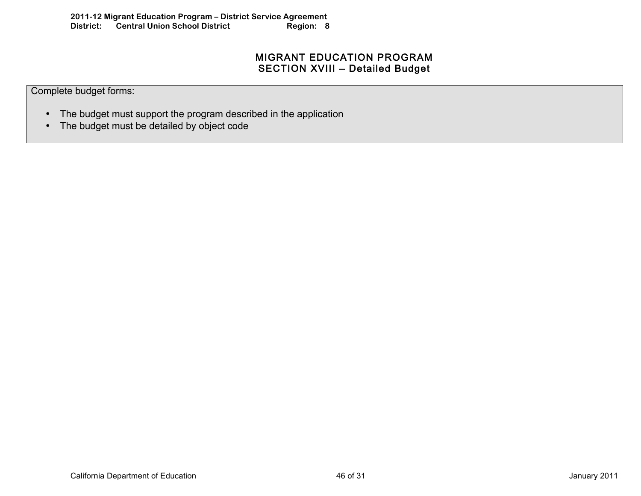# MIGRANT EDUCATION PROGRAM SECTION XVIII – Detailed Budget

Complete budget forms:

- The budget must support the program described in the application
- The budget must be detailed by object code